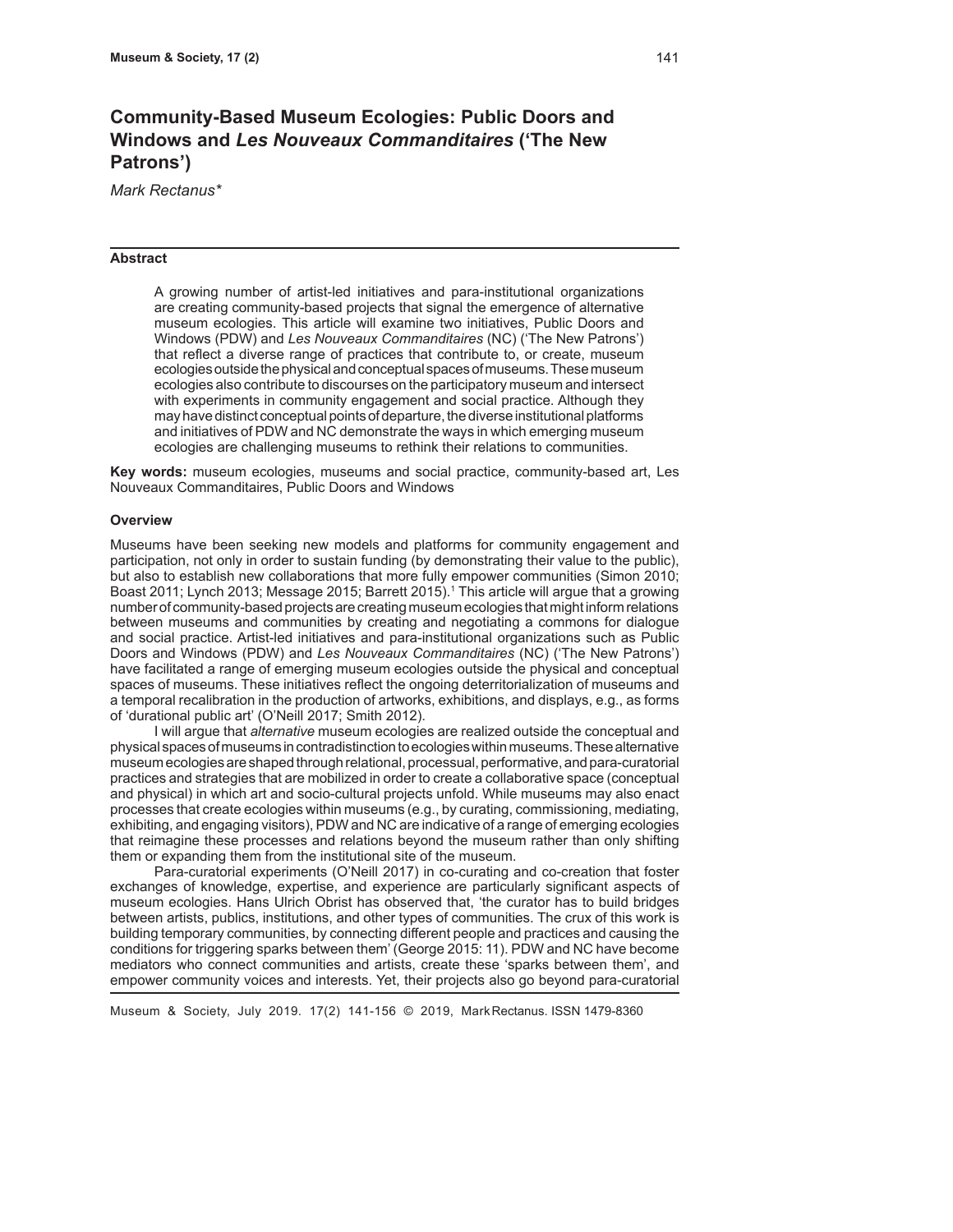# **Community-Based Museum Ecologies: Public Doors and Windows and** *Les Nouveaux Commanditaires* **('The New Patrons')**

*Mark Rectanus\**

#### **Abstract**

A growing number of artist-led initiatives and para-institutional organizations are creating community-based projects that signal the emergence of alternative museum ecologies. This article will examine two initiatives, Public Doors and Windows (PDW) and *Les Nouveaux Commanditaires* (NC) ('The New Patrons') that reflect a diverse range of practices that contribute to, or create, museum ecologies outside the physical and conceptual spaces of museums. These museum ecologies also contribute to discourses on the participatory museum and intersect with experiments in community engagement and social practice. Although they may have distinct conceptual points of departure, the diverse institutional platforms and initiatives of PDW and NC demonstrate the ways in which emerging museum ecologies are challenging museums to rethink their relations to communities.

**Key words:** museum ecologies, museums and social practice, community-based art, Les Nouveaux Commanditaires, Public Doors and Windows

#### **Overview**

Museums have been seeking new models and platforms for community engagement and participation, not only in order to sustain funding (by demonstrating their value to the public), but also to establish new collaborations that more fully empower communities (Simon 2010; Boast 2011; Lynch 2013; Message 2015; Barrett 2015).<sup>1</sup> This article will argue that a growing number of community-based projects are creating museum ecologies that might inform relations between museums and communities by creating and negotiating a commons for dialogue and social practice. Artist-led initiatives and para-institutional organizations such as Public Doors and Windows (PDW) and *Les Nouveaux Commanditaires* (NC) ('The New Patrons') have facilitated a range of emerging museum ecologies outside the physical and conceptual spaces of museums. These initiatives reflect the ongoing deterritorialization of museums and a temporal recalibration in the production of artworks, exhibitions, and displays, e.g., as forms of 'durational public art' (O'Neill 2017; Smith 2012).

I will argue that *alternative* museum ecologies are realized outside the conceptual and physical spaces of museums in contradistinction to ecologies within museums. These alternative museum ecologies are shaped through relational, processual, performative, and para-curatorial practices and strategies that are mobilized in order to create a collaborative space (conceptual and physical) in which art and socio-cultural projects unfold. While museums may also enact processes that create ecologies within museums (e.g., by curating, commissioning, mediating, exhibiting, and engaging visitors), PDW and NC are indicative of a range of emerging ecologies that reimagine these processes and relations beyond the museum rather than only shifting them or expanding them from the institutional site of the museum.

Para-curatorial experiments (O'Neill 2017) in co-curating and co-creation that foster exchanges of knowledge, expertise, and experience are particularly significant aspects of museum ecologies. Hans Ulrich Obrist has observed that, 'the curator has to build bridges between artists, publics, institutions, and other types of communities. The crux of this work is building temporary communities, by connecting different people and practices and causing the conditions for triggering sparks between them' (George 2015: 11). PDW and NC have become mediators who connect communities and artists, create these 'sparks between them', and empower community voices and interests. Yet, their projects also go beyond para-curatorial

Museum & Society, July 2019. 17(2) 141-156 © 2019, Mark Rectanus. ISSN 1479-8360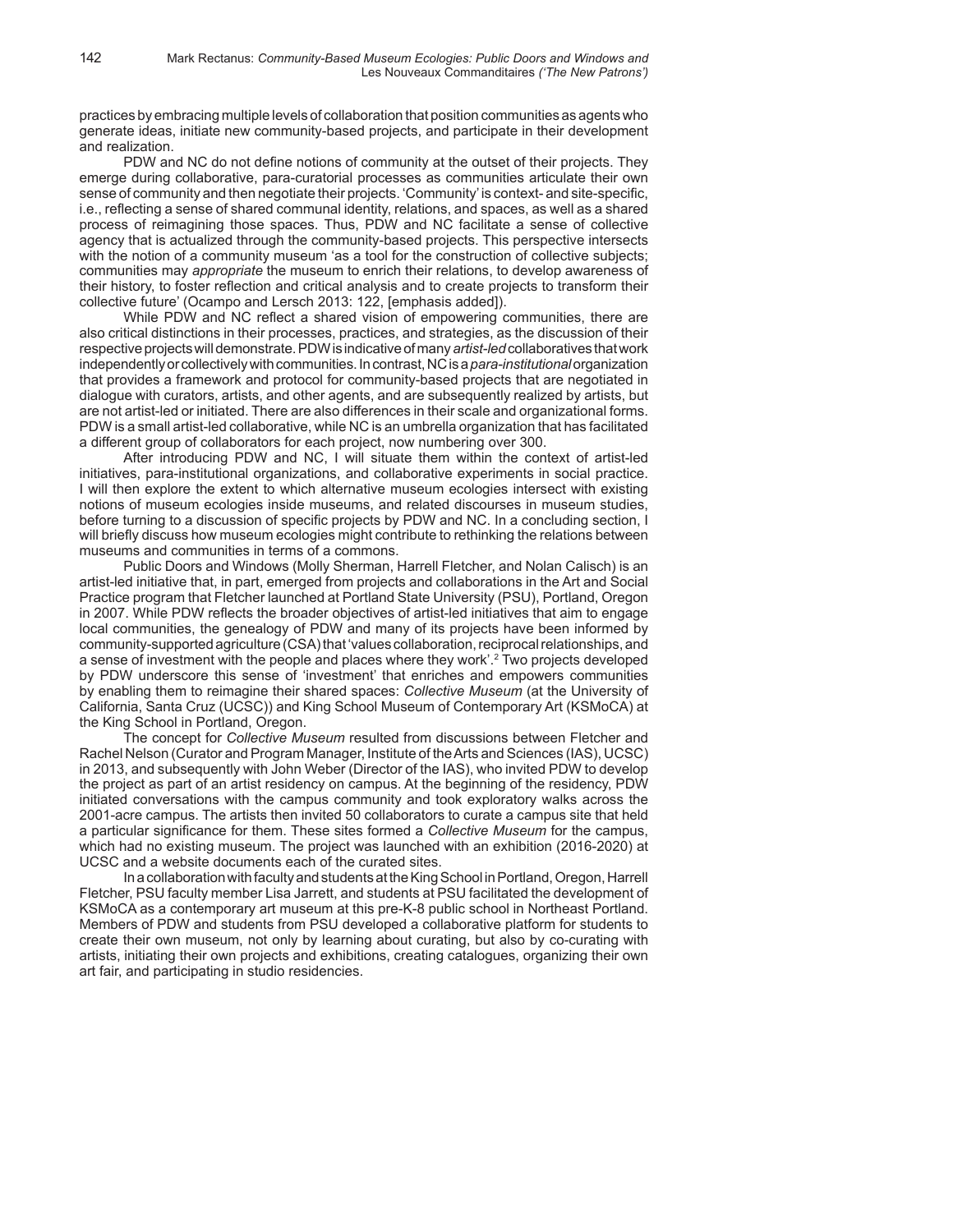practices by embracing multiple levels of collaboration that position communities as agents who generate ideas, initiate new community-based projects, and participate in their development and realization.

PDW and NC do not define notions of community at the outset of their projects. They emerge during collaborative, para-curatorial processes as communities articulate their own sense of community and then negotiate their projects. 'Community' is context- and site-specific, i.e., reflecting a sense of shared communal identity, relations, and spaces, as well as a shared process of reimagining those spaces. Thus, PDW and NC facilitate a sense of collective agency that is actualized through the community-based projects. This perspective intersects with the notion of a community museum 'as a tool for the construction of collective subjects; communities may *appropriate* the museum to enrich their relations, to develop awareness of their history, to foster reflection and critical analysis and to create projects to transform their collective future' (Ocampo and Lersch 2013: 122, [emphasis added]).

While PDW and NC reflect a shared vision of empowering communities, there are also critical distinctions in their processes, practices, and strategies, as the discussion of their respective projects will demonstrate. PDW is indicative of many *artist-led* collaboratives that work independently or collectively with communities. In contrast, NC is a *para-institutional* organization that provides a framework and protocol for community-based projects that are negotiated in dialogue with curators, artists, and other agents, and are subsequently realized by artists, but are not artist-led or initiated. There are also differences in their scale and organizational forms. PDW is a small artist-led collaborative, while NC is an umbrella organization that has facilitated a different group of collaborators for each project, now numbering over 300.

After introducing PDW and NC, I will situate them within the context of artist-led initiatives, para-institutional organizations, and collaborative experiments in social practice. I will then explore the extent to which alternative museum ecologies intersect with existing notions of museum ecologies inside museums, and related discourses in museum studies, before turning to a discussion of specific projects by PDW and NC. In a concluding section, I will briefly discuss how museum ecologies might contribute to rethinking the relations between museums and communities in terms of a commons.

Public Doors and Windows (Molly Sherman, Harrell Fletcher, and Nolan Calisch) is an artist-led initiative that, in part, emerged from projects and collaborations in the Art and Social Practice program that Fletcher launched at Portland State University (PSU), Portland, Oregon in 2007. While PDW reflects the broader objectives of artist-led initiatives that aim to engage local communities, the genealogy of PDW and many of its projects have been informed by community-supported agriculture (CSA) that 'values collaboration, reciprocal relationships, and a sense of investment with the people and places where they work'.2 Two projects developed by PDW underscore this sense of 'investment' that enriches and empowers communities by enabling them to reimagine their shared spaces: *Collective Museum* (at the University of California, Santa Cruz (UCSC)) and King School Museum of Contemporary Art (KSMoCA) at the King School in Portland, Oregon.

The concept for *Collective Museum* resulted from discussions between Fletcher and Rachel Nelson (Curator and Program Manager, Institute of the Arts and Sciences (IAS), UCSC) in 2013, and subsequently with John Weber (Director of the IAS), who invited PDW to develop the project as part of an artist residency on campus. At the beginning of the residency, PDW initiated conversations with the campus community and took exploratory walks across the 2001-acre campus. The artists then invited 50 collaborators to curate a campus site that held a particular significance for them. These sites formed a *Collective Museum* for the campus, which had no existing museum. The project was launched with an exhibition (2016-2020) at UCSC and a website documents each of the curated sites.

In a collaboration with faculty and students at the King School in Portland, Oregon, Harrell Fletcher, PSU faculty member Lisa Jarrett, and students at PSU facilitated the development of KSMoCA as a contemporary art museum at this pre-K-8 public school in Northeast Portland. Members of PDW and students from PSU developed a collaborative platform for students to create their own museum, not only by learning about curating, but also by co-curating with artists, initiating their own projects and exhibitions, creating catalogues, organizing their own art fair, and participating in studio residencies.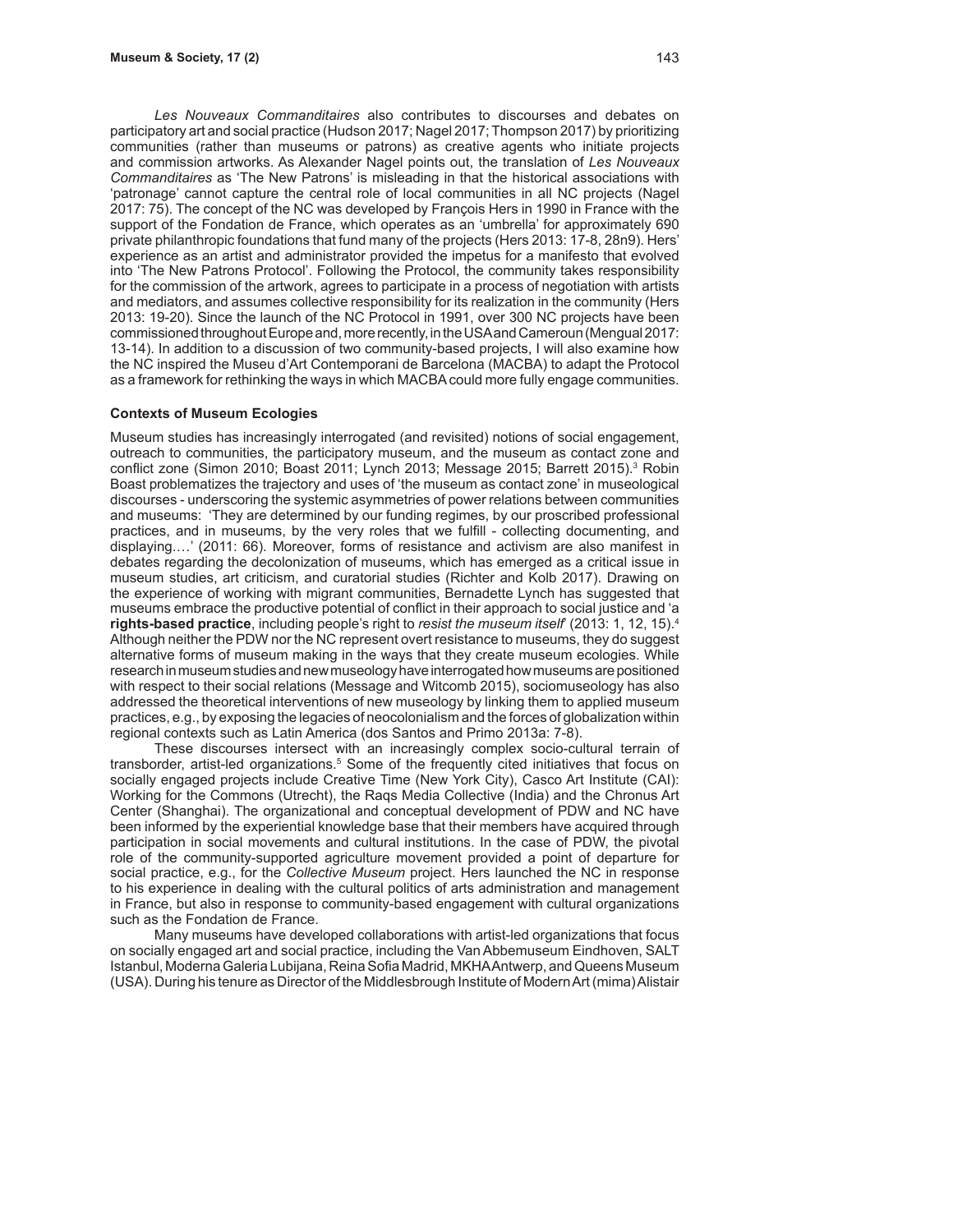*Les Nouveaux Commanditaires* also contributes to discourses and debates on participatory art and social practice (Hudson 2017; Nagel 2017; Thompson 2017) by prioritizing communities (rather than museums or patrons) as creative agents who initiate projects and commission artworks. As Alexander Nagel points out, the translation of *Les Nouveaux Commanditaires* as 'The New Patrons' is misleading in that the historical associations with 'patronage' cannot capture the central role of local communities in all NC projects (Nagel 2017: 75). The concept of the NC was developed by François Hers in 1990 in France with the support of the Fondation de France, which operates as an 'umbrella' for approximately 690 private philanthropic foundations that fund many of the projects (Hers 2013: 17-8, 28n9). Hers' experience as an artist and administrator provided the impetus for a manifesto that evolved into 'The New Patrons Protocol'. Following the Protocol, the community takes responsibility for the commission of the artwork, agrees to participate in a process of negotiation with artists and mediators, and assumes collective responsibility for its realization in the community (Hers 2013: 19-20). Since the launch of the NC Protocol in 1991, over 300 NC projects have been commissioned throughout Europe and, more recently, in the USA and Cameroun (Mengual 2017: 13-14). In addition to a discussion of two community-based projects, I will also examine how the NC inspired the Museu d'Art Contemporani de Barcelona (MACBA) to adapt the Protocol as a framework for rethinking the ways in which MACBA could more fully engage communities.

#### **Contexts of Museum Ecologies**

Museum studies has increasingly interrogated (and revisited) notions of social engagement, outreach to communities, the participatory museum, and the museum as contact zone and conflict zone (Simon 2010; Boast 2011; Lynch 2013; Message 2015; Barrett 2015).<sup>3</sup> Robin Boast problematizes the trajectory and uses of 'the museum as contact zone' in museological discourses - underscoring the systemic asymmetries of power relations between communities and museums: 'They are determined by our funding regimes, by our proscribed professional practices, and in museums, by the very roles that we fulfill - collecting documenting, and displaying.…' (2011: 66). Moreover, forms of resistance and activism are also manifest in debates regarding the decolonization of museums, which has emerged as a critical issue in museum studies, art criticism, and curatorial studies (Richter and Kolb 2017). Drawing on the experience of working with migrant communities, Bernadette Lynch has suggested that museums embrace the productive potential of conflict in their approach to social justice and 'a **rights-based practice**, including people's right to *resist the museum itself*' (2013: 1, 12, 15).4 Although neither the PDW nor the NC represent overt resistance to museums, they do suggest alternative forms of museum making in the ways that they create museum ecologies. While research in museum studies and new museology have interrogated how museums are positioned with respect to their social relations (Message and Witcomb 2015), sociomuseology has also addressed the theoretical interventions of new museology by linking them to applied museum practices, e.g., by exposing the legacies of neocolonialism and the forces of globalization within regional contexts such as Latin America (dos Santos and Primo 2013a: 7-8).

These discourses intersect with an increasingly complex socio-cultural terrain of transborder, artist-led organizations.<sup>5</sup> Some of the frequently cited initiatives that focus on socially engaged projects include Creative Time (New York City), Casco Art Institute (CAI): Working for the Commons (Utrecht), the Raqs Media Collective (India) and the Chronus Art Center (Shanghai). The organizational and conceptual development of PDW and NC have been informed by the experiential knowledge base that their members have acquired through participation in social movements and cultural institutions. In the case of PDW, the pivotal role of the community-supported agriculture movement provided a point of departure for social practice, e.g., for the *Collective Museum* project. Hers launched the NC in response to his experience in dealing with the cultural politics of arts administration and management in France, but also in response to community-based engagement with cultural organizations such as the Fondation de France.

Many museums have developed collaborations with artist-led organizations that focus on socially engaged art and social practice, including the Van Abbemuseum Eindhoven, SALT Istanbul, Moderna Galeria Lubijana, Reina Sofia Madrid, MKHA Antwerp, and Queens Museum (USA). During his tenure as Director of the Middlesbrough Institute of Modern Art (mima) Alistair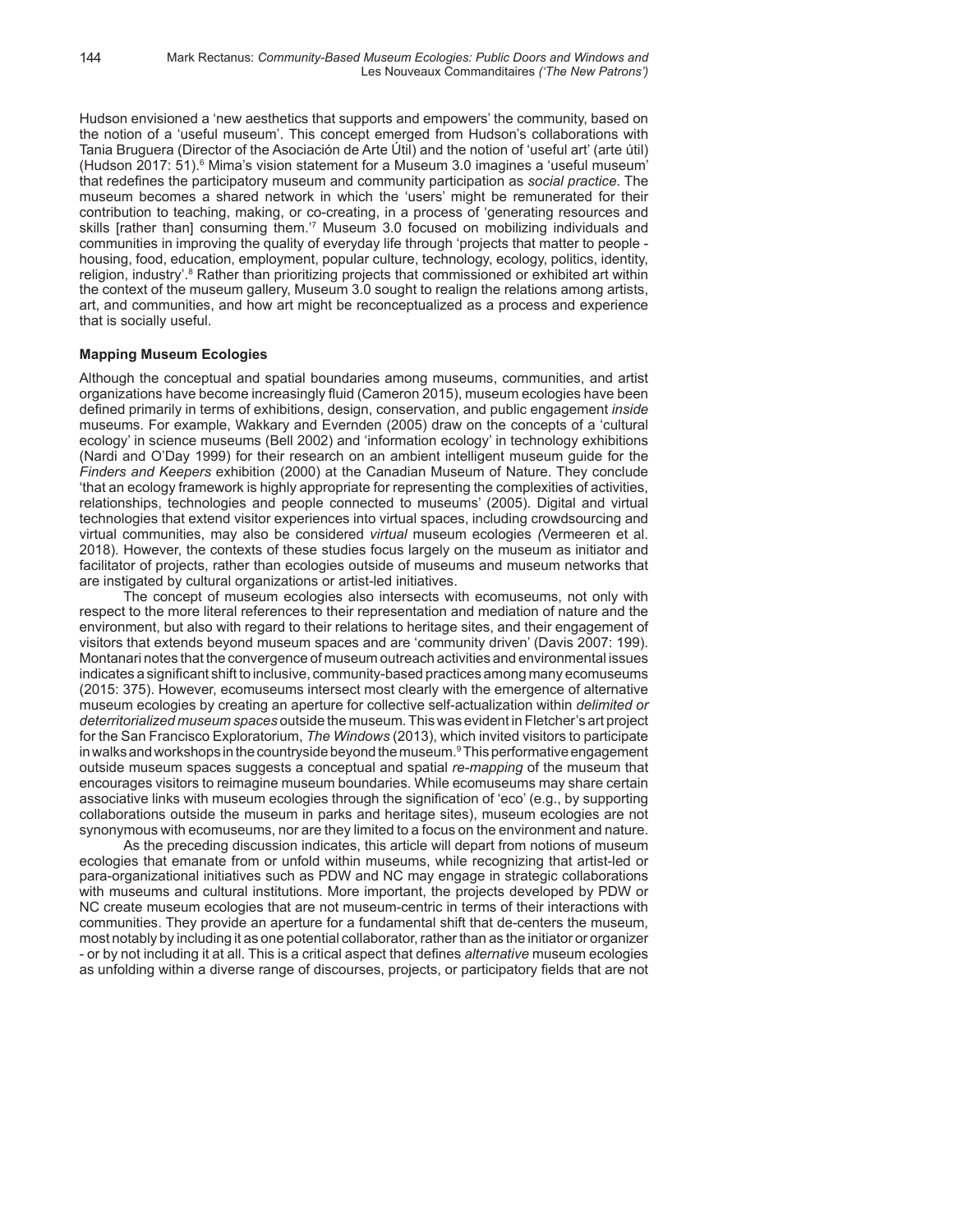Hudson envisioned a 'new aesthetics that supports and empowers' the community, based on the notion of a 'useful museum'. This concept emerged from Hudson's collaborations with Tania Bruguera (Director of the Asociación de Arte Útil) and the notion of 'useful art' (arte útil) (Hudson 2017: 51).<sup>6</sup> Mima's vision statement for a Museum 3.0 imagines a 'useful museum' that redefines the participatory museum and community participation as *social practice*. The museum becomes a shared network in which the 'users' might be remunerated for their contribution to teaching, making, or co-creating, in a process of 'generating resources and skills [rather than] consuming them.'7 Museum 3.0 focused on mobilizing individuals and communities in improving the quality of everyday life through 'projects that matter to people housing, food, education, employment, popular culture, technology, ecology, politics, identity, religion, industry'.<sup>8</sup> Rather than prioritizing projects that commissioned or exhibited art within the context of the museum gallery, Museum 3.0 sought to realign the relations among artists, art, and communities, and how art might be reconceptualized as a process and experience that is socially useful.

# **Mapping Museum Ecologies**

Although the conceptual and spatial boundaries among museums, communities, and artist organizations have become increasingly fluid (Cameron 2015), museum ecologies have been defined primarily in terms of exhibitions, design, conservation, and public engagement *inside* museums. For example, Wakkary and Evernden (2005) draw on the concepts of a 'cultural ecology' in science museums (Bell 2002) and 'information ecology' in technology exhibitions (Nardi and O'Day 1999) for their research on an ambient intelligent museum guide for the *Finders and Keepers* exhibition (2000) at the Canadian Museum of Nature. They conclude 'that an ecology framework is highly appropriate for representing the complexities of activities, relationships, technologies and people connected to museums' (2005). Digital and virtual technologies that extend visitor experiences into virtual spaces, including crowdsourcing and virtual communities, may also be considered *virtual* museum ecologies *(*Vermeeren et al. 2018). However, the contexts of these studies focus largely on the museum as initiator and facilitator of projects, rather than ecologies outside of museums and museum networks that are instigated by cultural organizations or artist-led initiatives.

The concept of museum ecologies also intersects with ecomuseums, not only with respect to the more literal references to their representation and mediation of nature and the environment, but also with regard to their relations to heritage sites, and their engagement of visitors that extends beyond museum spaces and are 'community driven' (Davis 2007: 199). Montanari notes that the convergence of museum outreach activities and environmental issues indicates a significant shift to inclusive, community-based practices among many ecomuseums (2015: 375). However, ecomuseums intersect most clearly with the emergence of alternative museum ecologies by creating an aperture for collective self-actualization within *delimited or deterritorialized museum spaces* outside the museum. This was evident in Fletcher's art project for the San Francisco Exploratorium, *The Windows* (2013), which invited visitors to participate in walks and workshops in the countryside beyond the museum. $^{\mathrm{9}}$ This performative engagement  $^{\mathrm{9}}$ outside museum spaces suggests a conceptual and spatial *re-mapping* of the museum that encourages visitors to reimagine museum boundaries. While ecomuseums may share certain associative links with museum ecologies through the signification of 'eco' (e.g., by supporting collaborations outside the museum in parks and heritage sites), museum ecologies are not synonymous with ecomuseums, nor are they limited to a focus on the environment and nature.

As the preceding discussion indicates, this article will depart from notions of museum ecologies that emanate from or unfold within museums, while recognizing that artist-led or para-organizational initiatives such as PDW and NC may engage in strategic collaborations with museums and cultural institutions. More important, the projects developed by PDW or NC create museum ecologies that are not museum-centric in terms of their interactions with communities. They provide an aperture for a fundamental shift that de-centers the museum, most notably by including it as one potential collaborator, rather than as the initiator or organizer - or by not including it at all. This is a critical aspect that defines *alternative* museum ecologies as unfolding within a diverse range of discourses, projects, or participatory fields that are not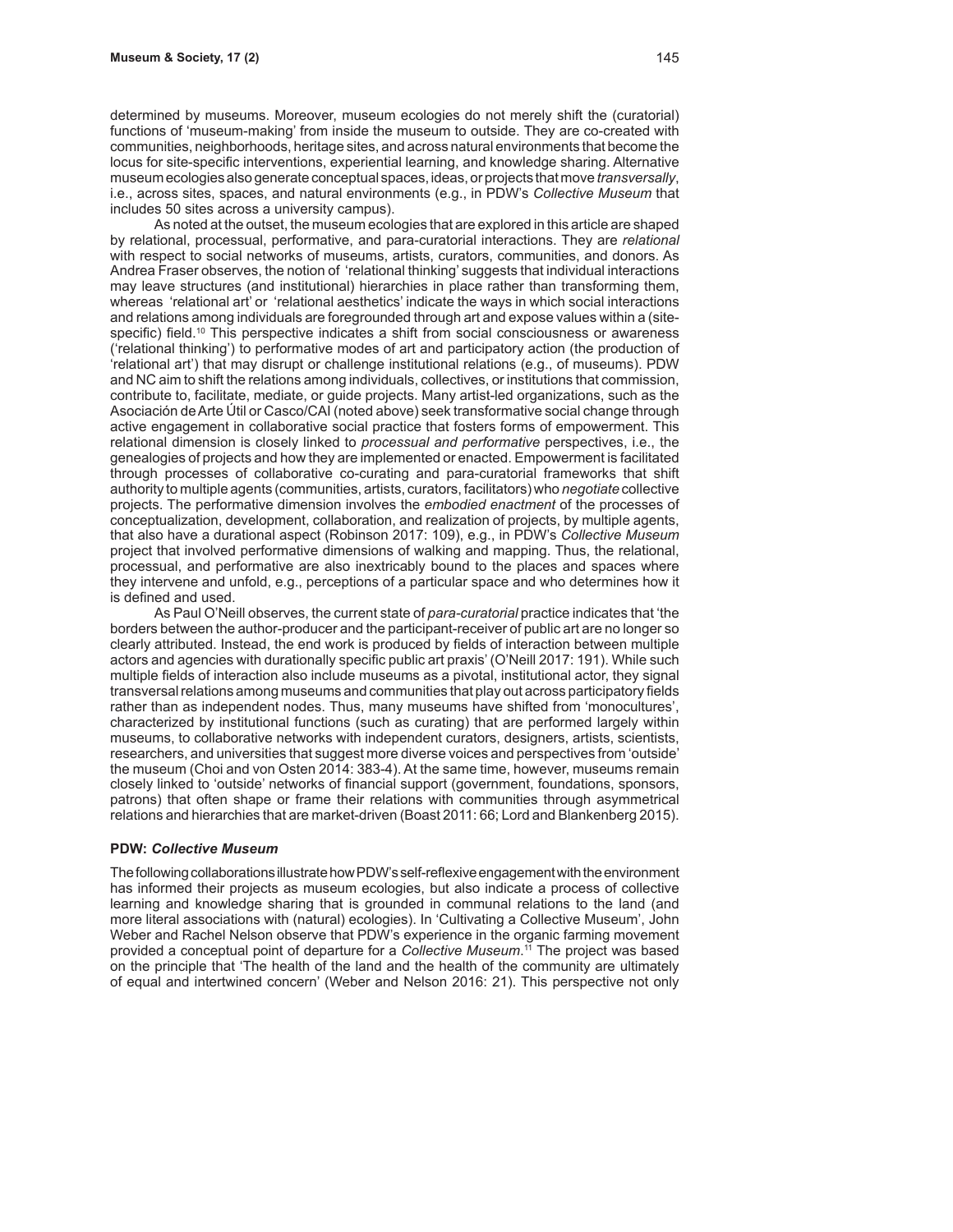determined by museums. Moreover, museum ecologies do not merely shift the (curatorial) functions of 'museum-making' from inside the museum to outside. They are co-created with communities, neighborhoods, heritage sites, and across natural environments that become the locus for site-specific interventions, experiential learning, and knowledge sharing. Alternative museum ecologies also generate conceptual spaces, ideas, or projects that move *transversally*, i.e., across sites, spaces, and natural environments (e.g., in PDW's *Collective Museum* that includes 50 sites across a university campus).

As noted at the outset, the museum ecologies that are explored in this article are shaped by relational, processual, performative, and para-curatorial interactions. They are *relational* with respect to social networks of museums, artists, curators, communities, and donors. As Andrea Fraser observes, the notion of 'relational thinking' suggests that individual interactions may leave structures (and institutional) hierarchies in place rather than transforming them, whereas 'relational art' or 'relational aesthetics' indicate the ways in which social interactions and relations among individuals are foregrounded through art and expose values within a (sitespecific) field.<sup>10</sup> This perspective indicates a shift from social consciousness or awareness ('relational thinking') to performative modes of art and participatory action (the production of 'relational art') that may disrupt or challenge institutional relations (e.g., of museums). PDW and NC aim to shift the relations among individuals, collectives, or institutions that commission, contribute to, facilitate, mediate, or guide projects. Many artist-led organizations, such as the Asociación de Arte Útil or Casco/CAI (noted above) seek transformative social change through active engagement in collaborative social practice that fosters forms of empowerment. This relational dimension is closely linked to *processual and performative* perspectives, i.e., the genealogies of projects and how they are implemented or enacted. Empowerment is facilitated through processes of collaborative co-curating and para-curatorial frameworks that shift authority to multiple agents (communities, artists, curators, facilitators) who *negotiate* collective projects. The performative dimension involves the *embodied enactment* of the processes of conceptualization, development, collaboration, and realization of projects, by multiple agents, that also have a durational aspect (Robinson 2017: 109), e.g., in PDW's *Collective Museum* project that involved performative dimensions of walking and mapping. Thus, the relational, processual, and performative are also inextricably bound to the places and spaces where they intervene and unfold, e.g., perceptions of a particular space and who determines how it is defined and used.

As Paul O'Neill observes, the current state of *para-curatorial* practice indicates that 'the borders between the author-producer and the participant-receiver of public art are no longer so clearly attributed. Instead, the end work is produced by fields of interaction between multiple actors and agencies with durationally specific public art praxis' (O'Neill 2017: 191). While such multiple fields of interaction also include museums as a pivotal, institutional actor, they signal transversal relations among museums and communities that play out across participatory fields rather than as independent nodes. Thus, many museums have shifted from 'monocultures', characterized by institutional functions (such as curating) that are performed largely within museums, to collaborative networks with independent curators, designers, artists, scientists, researchers, and universities that suggest more diverse voices and perspectives from 'outside' the museum (Choi and von Osten 2014: 383-4). At the same time, however, museums remain closely linked to 'outside' networks of financial support (government, foundations, sponsors, patrons) that often shape or frame their relations with communities through asymmetrical relations and hierarchies that are market-driven (Boast 2011: 66; Lord and Blankenberg 2015).

#### **PDW:** *Collective Museum*

The following collaborations illustrate how PDW's self-reflexive engagement with the environment has informed their projects as museum ecologies, but also indicate a process of collective learning and knowledge sharing that is grounded in communal relations to the land (and more literal associations with (natural) ecologies). In 'Cultivating a Collective Museum', John Weber and Rachel Nelson observe that PDW's experience in the organic farming movement provided a conceptual point of departure for a *Collective Museum*. 11 The project was based on the principle that 'The health of the land and the health of the community are ultimately of equal and intertwined concern' (Weber and Nelson 2016: 21). This perspective not only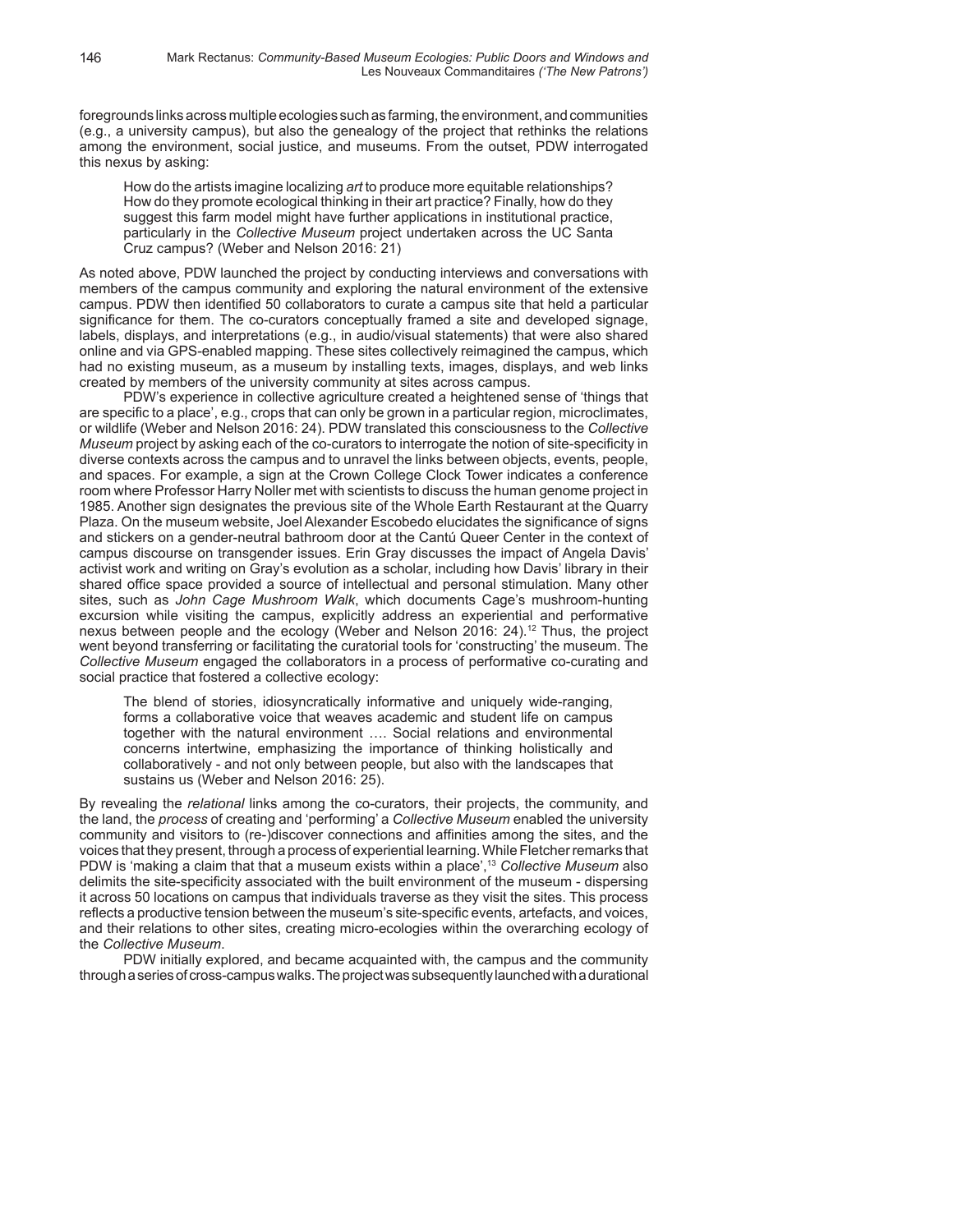foregrounds links across multiple ecologies such as farming, the environment, and communities (e.g., a university campus), but also the genealogy of the project that rethinks the relations among the environment, social justice, and museums. From the outset, PDW interrogated this nexus by asking:

How do the artists imagine localizing *art* to produce more equitable relationships? How do they promote ecological thinking in their art practice? Finally, how do they suggest this farm model might have further applications in institutional practice, particularly in the *Collective Museum* project undertaken across the UC Santa Cruz campus? (Weber and Nelson 2016: 21)

As noted above, PDW launched the project by conducting interviews and conversations with members of the campus community and exploring the natural environment of the extensive campus. PDW then identified 50 collaborators to curate a campus site that held a particular significance for them. The co-curators conceptually framed a site and developed signage, labels, displays, and interpretations (e.g., in audio/visual statements) that were also shared online and via GPS-enabled mapping. These sites collectively reimagined the campus, which had no existing museum, as a museum by installing texts, images, displays, and web links created by members of the university community at sites across campus.

PDW's experience in collective agriculture created a heightened sense of 'things that are specific to a place', e.g., crops that can only be grown in a particular region, microclimates, or wildlife (Weber and Nelson 2016: 24). PDW translated this consciousness to the *Collective Museum* project by asking each of the co-curators to interrogate the notion of site-specificity in diverse contexts across the campus and to unravel the links between objects, events, people, and spaces. For example, a sign at the Crown College Clock Tower indicates a conference room where Professor Harry Noller met with scientists to discuss the human genome project in 1985. Another sign designates the previous site of the Whole Earth Restaurant at the Quarry Plaza. On the museum website, Joel Alexander Escobedo elucidates the significance of signs and stickers on a gender-neutral bathroom door at the Cantú Queer Center in the context of campus discourse on transgender issues. Erin Gray discusses the impact of Angela Davis' activist work and writing on Gray's evolution as a scholar, including how Davis' library in their shared office space provided a source of intellectual and personal stimulation. Many other sites, such as *John Cage Mushroom Walk*, which documents Cage's mushroom-hunting excursion while visiting the campus, explicitly address an experiential and performative nexus between people and the ecology (Weber and Nelson 2016: 24).<sup>12</sup> Thus, the project went beyond transferring or facilitating the curatorial tools for 'constructing' the museum. The *Collective Museum* engaged the collaborators in a process of performative co-curating and social practice that fostered a collective ecology:

The blend of stories, idiosyncratically informative and uniquely wide-ranging, forms a collaborative voice that weaves academic and student life on campus together with the natural environment …. Social relations and environmental concerns intertwine, emphasizing the importance of thinking holistically and collaboratively - and not only between people, but also with the landscapes that sustains us (Weber and Nelson 2016: 25).

By revealing the *relational* links among the co-curators, their projects, the community, and the land, the *process* of creating and 'performing' a *Collective Museum* enabled the university community and visitors to (re-)discover connections and affinities among the sites, and the voices that they present, through a process of experiential learning. While Fletcher remarks that PDW is 'making a claim that that a museum exists within a place',13 *Collective Museum* also delimits the site-specificity associated with the built environment of the museum - dispersing it across 50 locations on campus that individuals traverse as they visit the sites. This process reflects a productive tension between the museum's site-specific events, artefacts, and voices, and their relations to other sites, creating micro-ecologies within the overarching ecology of the *Collective Museum*.

PDW initially explored, and became acquainted with, the campus and the community through a series of cross-campus walks. The project was subsequently launched with a durational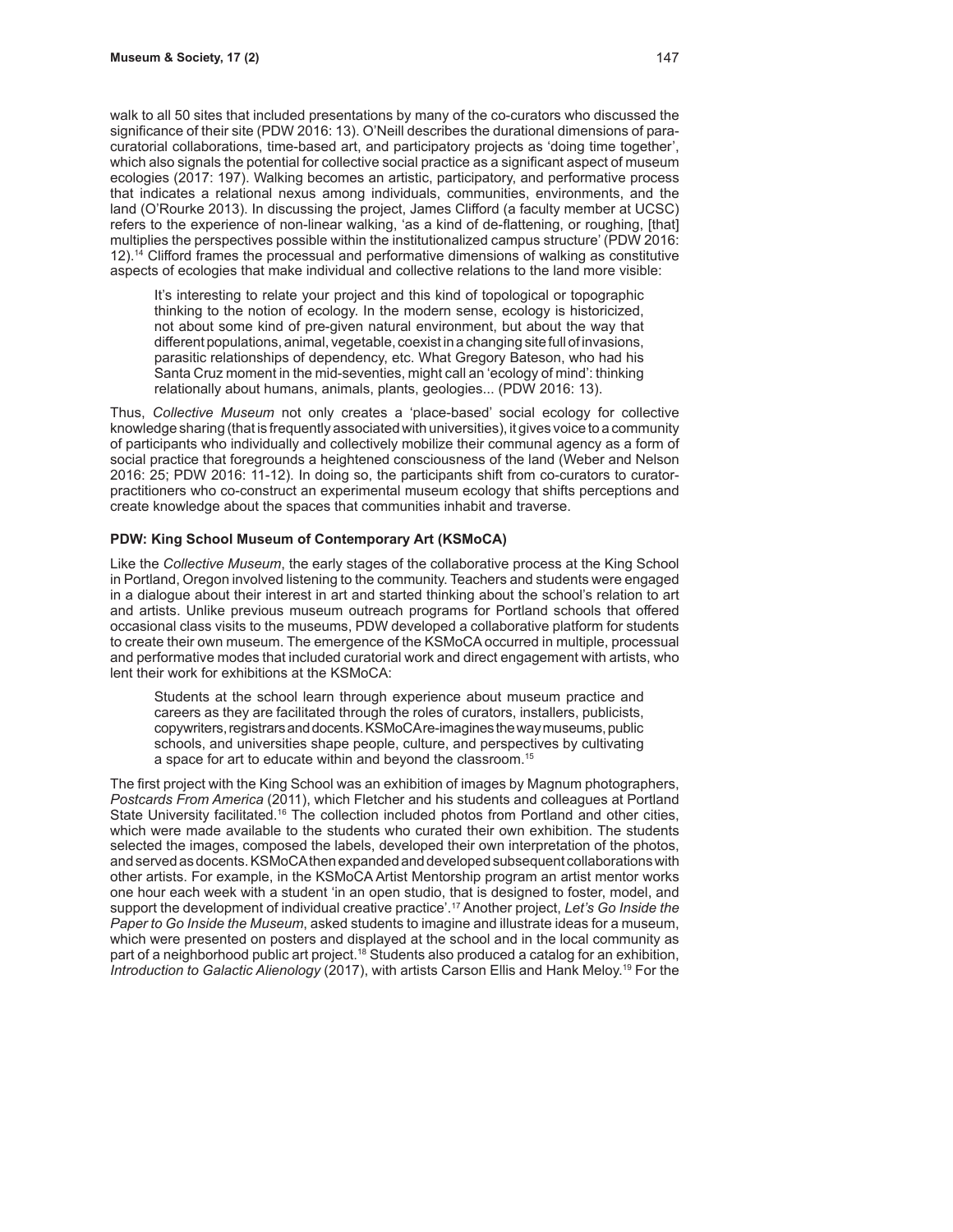walk to all 50 sites that included presentations by many of the co-curators who discussed the significance of their site (PDW 2016: 13). O'Neill describes the durational dimensions of paracuratorial collaborations, time-based art, and participatory projects as 'doing time together', which also signals the potential for collective social practice as a significant aspect of museum ecologies (2017: 197). Walking becomes an artistic, participatory, and performative process that indicates a relational nexus among individuals, communities, environments, and the land (O'Rourke 2013). In discussing the project, James Clifford (a faculty member at UCSC) refers to the experience of non-linear walking, 'as a kind of de-flattening, or roughing, [that] multiplies the perspectives possible within the institutionalized campus structure' (PDW 2016: 12).14 Clifford frames the processual and performative dimensions of walking as constitutive aspects of ecologies that make individual and collective relations to the land more visible:

It's interesting to relate your project and this kind of topological or topographic thinking to the notion of ecology. In the modern sense, ecology is historicized, not about some kind of pre-given natural environment, but about the way that different populations, animal, vegetable, coexist in a changing site full of invasions, parasitic relationships of dependency, etc. What Gregory Bateson, who had his Santa Cruz moment in the mid-seventies, might call an 'ecology of mind': thinking relationally about humans, animals, plants, geologies... (PDW 2016: 13).

Thus, *Collective Museum* not only creates a 'place-based' social ecology for collective knowledge sharing (that is frequently associated with universities), it gives voice to a community of participants who individually and collectively mobilize their communal agency as a form of social practice that foregrounds a heightened consciousness of the land (Weber and Nelson 2016: 25; PDW 2016: 11-12). In doing so, the participants shift from co-curators to curatorpractitioners who co-construct an experimental museum ecology that shifts perceptions and create knowledge about the spaces that communities inhabit and traverse.

## **PDW: King School Museum of Contemporary Art (KSMoCA)**

Like the *Collective Museum*, the early stages of the collaborative process at the King School in Portland, Oregon involved listening to the community. Teachers and students were engaged in a dialogue about their interest in art and started thinking about the school's relation to art and artists. Unlike previous museum outreach programs for Portland schools that offered occasional class visits to the museums, PDW developed a collaborative platform for students to create their own museum. The emergence of the KSMoCA occurred in multiple, processual and performative modes that included curatorial work and direct engagement with artists, who lent their work for exhibitions at the KSMoCA:

Students at the school learn through experience about museum practice and careers as they are facilitated through the roles of curators, installers, publicists, copywriters, registrars and docents. KSMoCA re-imagines the way museums, public schools, and universities shape people, culture, and perspectives by cultivating a space for art to educate within and beyond the classroom.15

The first project with the King School was an exhibition of images by Magnum photographers, *Postcards From America* (2011), which Fletcher and his students and colleagues at Portland State University facilitated.16 The collection included photos from Portland and other cities, which were made available to the students who curated their own exhibition. The students selected the images, composed the labels, developed their own interpretation of the photos, and served as docents. KSMoCA then expanded and developed subsequent collaborations with other artists. For example, in the KSMoCA Artist Mentorship program an artist mentor works one hour each week with a student 'in an open studio, that is designed to foster, model, and support the development of individual creative practice'.17 Another project, *Let's Go Inside the Paper to Go Inside the Museum*, asked students to imagine and illustrate ideas for a museum, which were presented on posters and displayed at the school and in the local community as part of a neighborhood public art project.<sup>18</sup> Students also produced a catalog for an exhibition, *Introduction to Galactic Alienology* (2017), with artists Carson Ellis and Hank Meloy.19 For the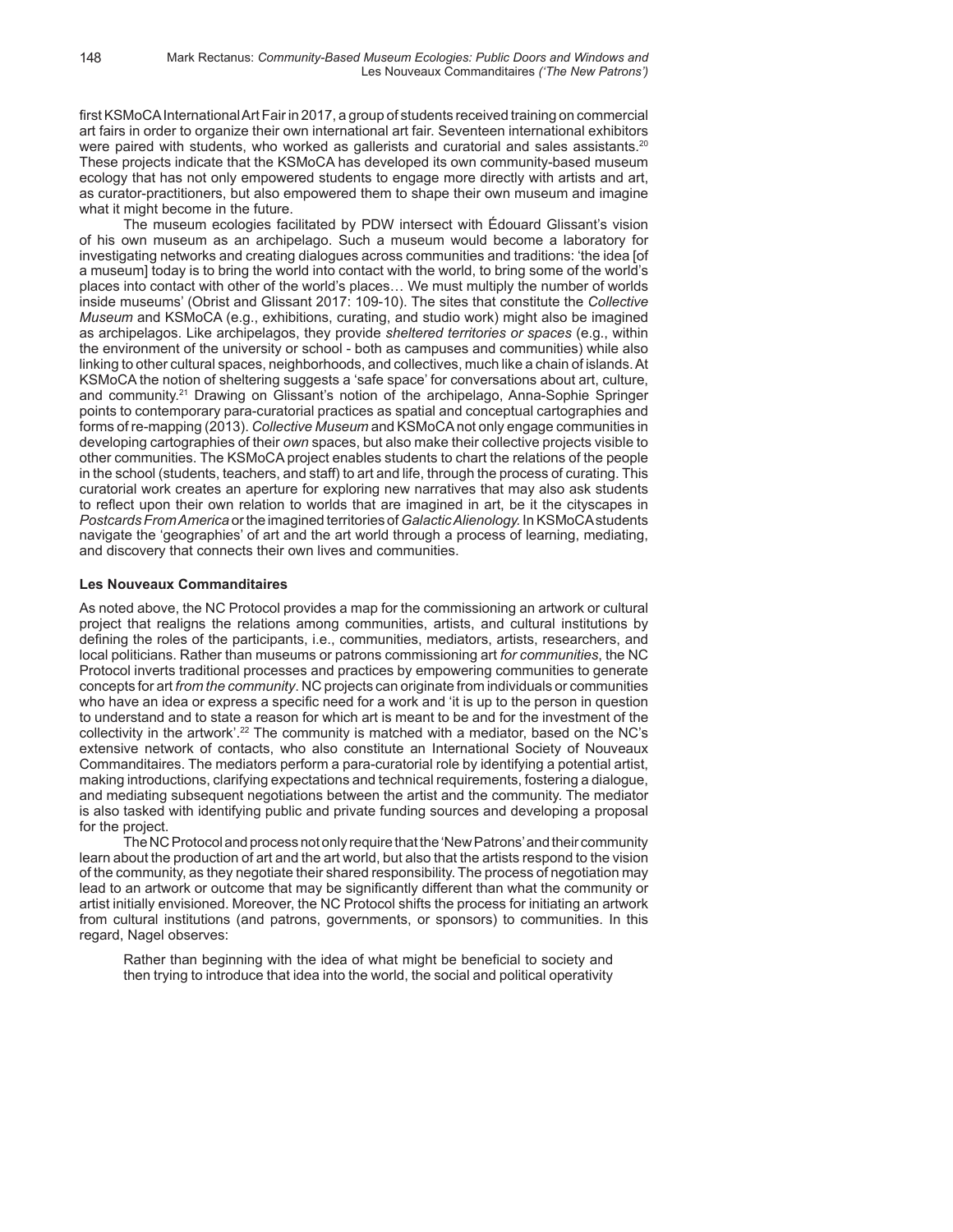first KSMoCA International Art Fair in 2017, a group of students received training on commercial art fairs in order to organize their own international art fair. Seventeen international exhibitors were paired with students, who worked as gallerists and curatorial and sales assistants.<sup>20</sup> These projects indicate that the KSMoCA has developed its own community-based museum ecology that has not only empowered students to engage more directly with artists and art, as curator-practitioners, but also empowered them to shape their own museum and imagine what it might become in the future.

The museum ecologies facilitated by PDW intersect with Édouard Glissant's vision of his own museum as an archipelago. Such a museum would become a laboratory for investigating networks and creating dialogues across communities and traditions: 'the idea [of a museum] today is to bring the world into contact with the world, to bring some of the world's places into contact with other of the world's places… We must multiply the number of worlds inside museums' (Obrist and Glissant 2017: 109-10). The sites that constitute the *Collective Museum* and KSMoCA (e.g., exhibitions, curating, and studio work) might also be imagined as archipelagos. Like archipelagos, they provide *sheltered territories or spaces* (e.g., within the environment of the university or school - both as campuses and communities) while also linking to other cultural spaces, neighborhoods, and collectives, much like a chain of islands. At KSMoCA the notion of sheltering suggests a 'safe space' for conversations about art, culture, and community.21 Drawing on Glissant's notion of the archipelago, Anna-Sophie Springer points to contemporary para-curatorial practices as spatial and conceptual cartographies and forms of re-mapping (2013). *Collective Museum* and KSMoCA not only engage communities in developing cartographies of their *own* spaces, but also make their collective projects visible to other communities. The KSMoCA project enables students to chart the relations of the people in the school (students, teachers, and staff) to art and life, through the process of curating. This curatorial work creates an aperture for exploring new narratives that may also ask students to reflect upon their own relation to worlds that are imagined in art, be it the cityscapes in *Postcards From America* or the imagined territories of *Galactic Alienology.* In KSMoCA students navigate the 'geographies' of art and the art world through a process of learning, mediating, and discovery that connects their own lives and communities.

## **Les Nouveaux Commanditaires**

As noted above, the NC Protocol provides a map for the commissioning an artwork or cultural project that realigns the relations among communities, artists, and cultural institutions by defining the roles of the participants, i.e., communities, mediators, artists, researchers, and local politicians. Rather than museums or patrons commissioning art *for communities*, the NC Protocol inverts traditional processes and practices by empowering communities to generate concepts for art *from the community*. NC projects can originate from individuals or communities who have an idea or express a specific need for a work and 'it is up to the person in question to understand and to state a reason for which art is meant to be and for the investment of the collectivity in the artwork'.<sup>22</sup> The community is matched with a mediator, based on the NC's extensive network of contacts, who also constitute an International Society of Nouveaux Commanditaires. The mediators perform a para-curatorial role by identifying a potential artist, making introductions, clarifying expectations and technical requirements, fostering a dialogue, and mediating subsequent negotiations between the artist and the community. The mediator is also tasked with identifying public and private funding sources and developing a proposal for the project.

The NC Protocol and process not only require that the 'New Patrons' and their community learn about the production of art and the art world, but also that the artists respond to the vision of the community, as they negotiate their shared responsibility. The process of negotiation may lead to an artwork or outcome that may be significantly different than what the community or artist initially envisioned. Moreover, the NC Protocol shifts the process for initiating an artwork from cultural institutions (and patrons, governments, or sponsors) to communities. In this regard, Nagel observes:

Rather than beginning with the idea of what might be beneficial to society and then trying to introduce that idea into the world, the social and political operativity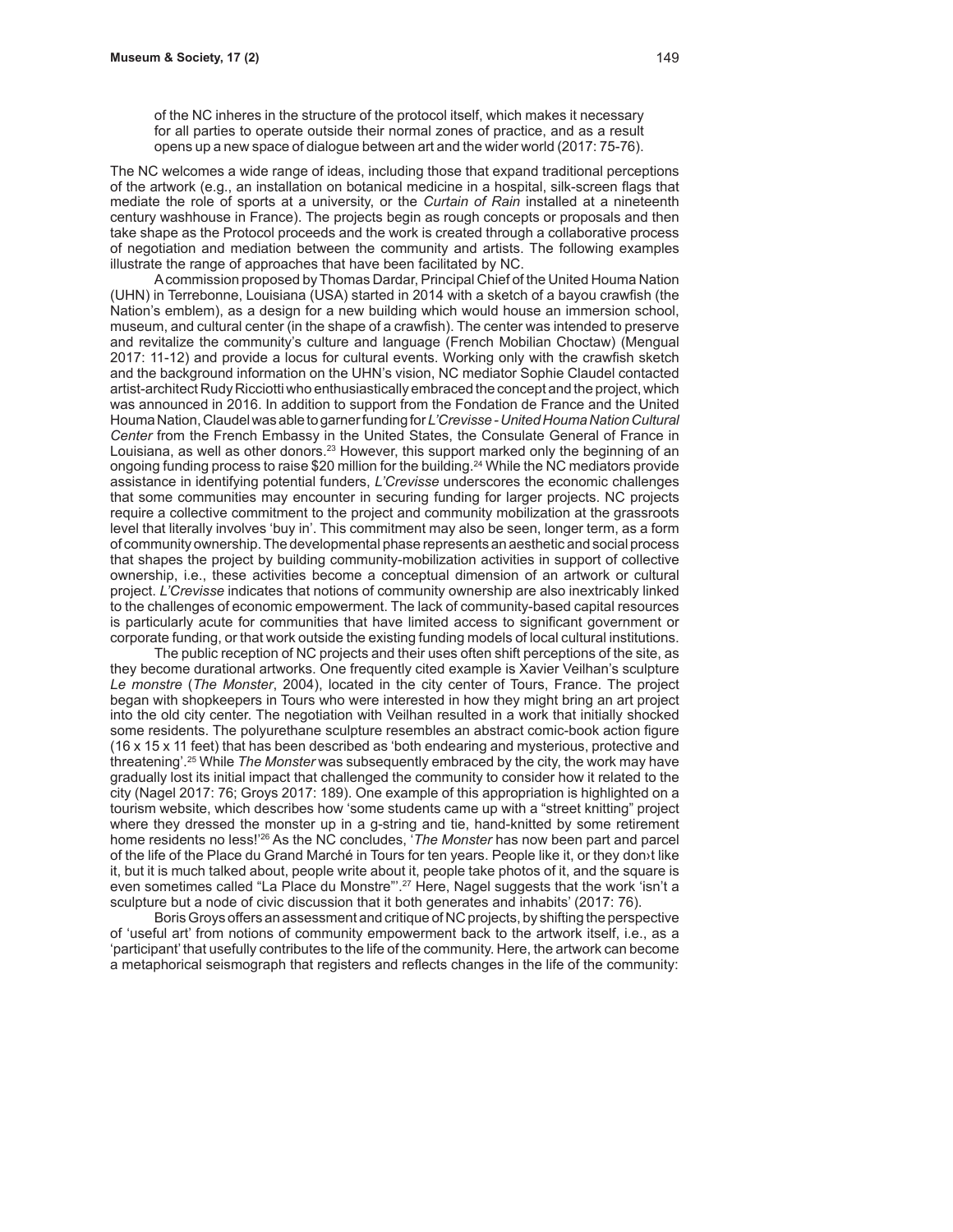of the NC inheres in the structure of the protocol itself, which makes it necessary for all parties to operate outside their normal zones of practice, and as a result opens up a new space of dialogue between art and the wider world (2017: 75-76).

The NC welcomes a wide range of ideas, including those that expand traditional perceptions of the artwork (e.g., an installation on botanical medicine in a hospital, silk-screen flags that mediate the role of sports at a university, or the *Curtain of Rain* installed at a nineteenth century washhouse in France). The projects begin as rough concepts or proposals and then take shape as the Protocol proceeds and the work is created through a collaborative process of negotiation and mediation between the community and artists. The following examples illustrate the range of approaches that have been facilitated by NC.

A commission proposed by Thomas Dardar, Principal Chief of the United Houma Nation (UHN) in Terrebonne, Louisiana (USA) started in 2014 with a sketch of a bayou crawfish (the Nation's emblem), as a design for a new building which would house an immersion school, museum, and cultural center (in the shape of a crawfish). The center was intended to preserve and revitalize the community's culture and language (French Mobilian Choctaw) (Mengual 2017: 11-12) and provide a locus for cultural events. Working only with the crawfish sketch and the background information on the UHN's vision, NC mediator Sophie Claudel contacted artist-architect Rudy Ricciotti who enthusiastically embraced the concept and the project, which was announced in 2016. In addition to support from the Fondation de France and the United Houma Nation, Claudel was able to garner funding for *L'Crevisse - United Houma Nation Cultural Center* from the French Embassy in the United States, the Consulate General of France in Louisiana, as well as other donors.<sup>23</sup> However, this support marked only the beginning of an ongoing funding process to raise \$20 million for the building.24 While the NC mediators provide assistance in identifying potential funders, *L'Crevisse* underscores the economic challenges that some communities may encounter in securing funding for larger projects. NC projects require a collective commitment to the project and community mobilization at the grassroots level that literally involves 'buy in'. This commitment may also be seen, longer term, as a form of community ownership. The developmental phase represents an aesthetic and social process that shapes the project by building community-mobilization activities in support of collective ownership, i.e., these activities become a conceptual dimension of an artwork or cultural project. *L'Crevisse* indicates that notions of community ownership are also inextricably linked to the challenges of economic empowerment. The lack of community-based capital resources is particularly acute for communities that have limited access to significant government or corporate funding, or that work outside the existing funding models of local cultural institutions.

The public reception of NC projects and their uses often shift perceptions of the site, as they become durational artworks. One frequently cited example is Xavier Veilhan's sculpture *Le monstre* (*The Monster*, 2004), located in the city center of Tours, France. The project began with shopkeepers in Tours who were interested in how they might bring an art project into the old city center. The negotiation with Veilhan resulted in a work that initially shocked some residents. The polyurethane sculpture resembles an abstract comic-book action figure (16 x 15 x 11 feet) that has been described as 'both endearing and mysterious, protective and threatening'.25 While *The Monster* was subsequently embraced by the city, the work may have gradually lost its initial impact that challenged the community to consider how it related to the city (Nagel 2017: 76; Groys 2017: 189). One example of this appropriation is highlighted on a tourism website, which describes how 'some students came up with a "street knitting" project where they dressed the monster up in a g-string and tie, hand-knitted by some retirement home residents no less!'26 As the NC concludes, '*The Monster* has now been part and parcel of the life of the Place du Grand Marché in Tours for ten years. People like it, or they don›t like it, but it is much talked about, people write about it, people take photos of it, and the square is even sometimes called "La Place du Monstre"'.<sup>27</sup> Here, Nagel suggests that the work 'isn't a sculpture but a node of civic discussion that it both generates and inhabits' (2017: 76).

Boris Groys offers an assessment and critique of NC projects, by shifting the perspective of 'useful art' from notions of community empowerment back to the artwork itself, i.e., as a 'participant' that usefully contributes to the life of the community. Here, the artwork can become a metaphorical seismograph that registers and reflects changes in the life of the community: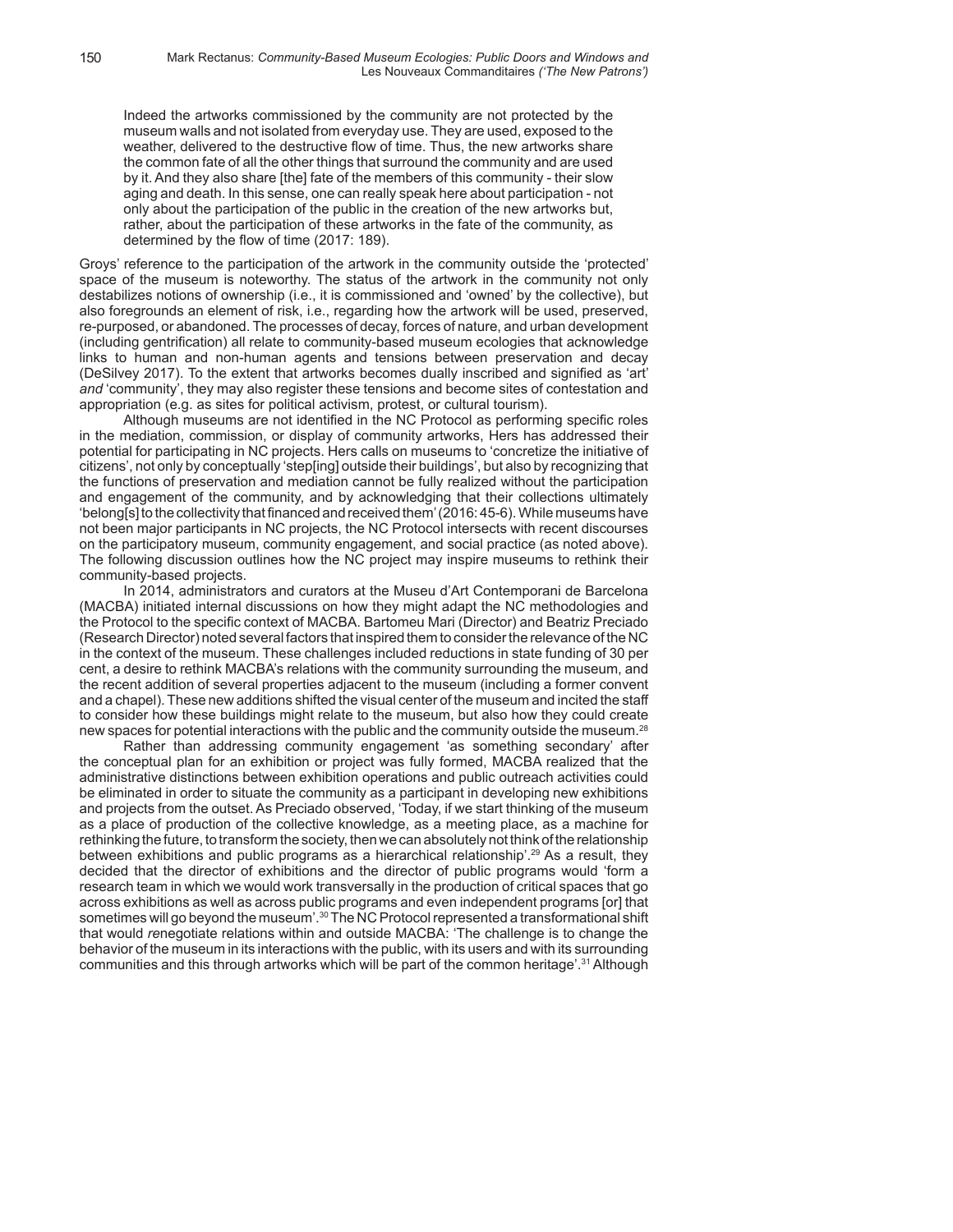Indeed the artworks commissioned by the community are not protected by the museum walls and not isolated from everyday use. They are used, exposed to the weather, delivered to the destructive flow of time. Thus, the new artworks share the common fate of all the other things that surround the community and are used by it. And they also share [the] fate of the members of this community - their slow aging and death. In this sense, one can really speak here about participation - not only about the participation of the public in the creation of the new artworks but, rather, about the participation of these artworks in the fate of the community, as determined by the flow of time (2017: 189).

Groys' reference to the participation of the artwork in the community outside the 'protected' space of the museum is noteworthy. The status of the artwork in the community not only destabilizes notions of ownership (i.e., it is commissioned and 'owned' by the collective), but also foregrounds an element of risk, i.e., regarding how the artwork will be used, preserved, re-purposed, or abandoned. The processes of decay, forces of nature, and urban development (including gentrification) all relate to community-based museum ecologies that acknowledge links to human and non-human agents and tensions between preservation and decay (DeSilvey 2017). To the extent that artworks becomes dually inscribed and signified as 'art' *and* 'community', they may also register these tensions and become sites of contestation and appropriation (e.g. as sites for political activism, protest, or cultural tourism).

Although museums are not identified in the NC Protocol as performing specific roles in the mediation, commission, or display of community artworks, Hers has addressed their potential for participating in NC projects. Hers calls on museums to 'concretize the initiative of citizens', not only by conceptually 'step[ing] outside their buildings', but also by recognizing that the functions of preservation and mediation cannot be fully realized without the participation and engagement of the community, and by acknowledging that their collections ultimately 'belong[s] to the collectivity that financed and received them' (2016: 45-6). While museums have not been major participants in NC projects, the NC Protocol intersects with recent discourses on the participatory museum, community engagement, and social practice (as noted above). The following discussion outlines how the NC project may inspire museums to rethink their community-based projects.

In 2014, administrators and curators at the Museu d'Art Contemporani de Barcelona (MACBA) initiated internal discussions on how they might adapt the NC methodologies and the Protocol to the specific context of MACBA. Bartomeu Mari (Director) and Beatriz Preciado (Research Director) noted several factors that inspired them to consider the relevance of the NC in the context of the museum. These challenges included reductions in state funding of 30 per cent, a desire to rethink MACBA's relations with the community surrounding the museum, and the recent addition of several properties adjacent to the museum (including a former convent and a chapel). These new additions shifted the visual center of the museum and incited the staff to consider how these buildings might relate to the museum, but also how they could create new spaces for potential interactions with the public and the community outside the museum.<sup>28</sup>

Rather than addressing community engagement 'as something secondary' after the conceptual plan for an exhibition or project was fully formed, MACBA realized that the administrative distinctions between exhibition operations and public outreach activities could be eliminated in order to situate the community as a participant in developing new exhibitions and projects from the outset. As Preciado observed, 'Today, if we start thinking of the museum as a place of production of the collective knowledge, as a meeting place, as a machine for rethinking the future, to transform the society, then we can absolutely not think of the relationship between exhibitions and public programs as a hierarchical relationship'.<sup>29</sup> As a result, they decided that the director of exhibitions and the director of public programs would 'form a research team in which we would work transversally in the production of critical spaces that go across exhibitions as well as across public programs and even independent programs [or] that sometimes will go beyond the museum'. $30$  The NC Protocol represented a transformational shift that would *re*negotiate relations within and outside MACBA: 'The challenge is to change the behavior of the museum in its interactions with the public, with its users and with its surrounding communities and this through artworks which will be part of the common heritage'.<sup>31</sup> Although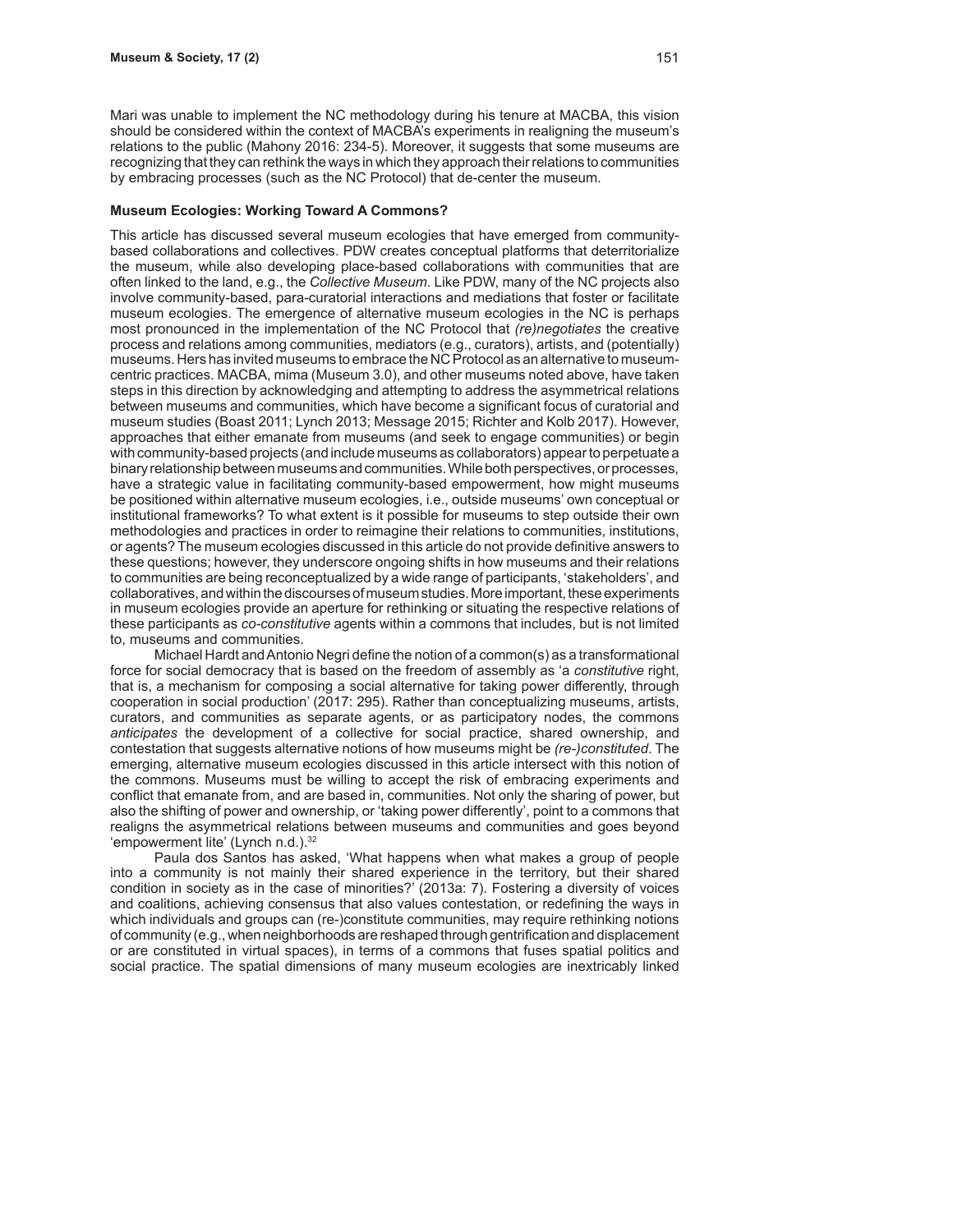Mari was unable to implement the NC methodology during his tenure at MACBA, this vision should be considered within the context of MACBA's experiments in realigning the museum's relations to the public (Mahony 2016: 234-5). Moreover, it suggests that some museums are recognizing that they can rethink the ways in which they approach their relations to communities by embracing processes (such as the NC Protocol) that de-center the museum.

#### **Museum Ecologies: Working Toward A Commons?**

This article has discussed several museum ecologies that have emerged from communitybased collaborations and collectives. PDW creates conceptual platforms that deterritorialize the museum, while also developing place-based collaborations with communities that are often linked to the land, e.g., the *Collective Museum*. Like PDW, many of the NC projects also involve community-based, para-curatorial interactions and mediations that foster or facilitate museum ecologies. The emergence of alternative museum ecologies in the NC is perhaps most pronounced in the implementation of the NC Protocol that *(re)negotiates* the creative process and relations among communities, mediators (e.g., curators), artists, and (potentially) museums. Hers has invited museums to embrace the NC Protocol as an alternative to museumcentric practices. MACBA, mima (Museum 3.0), and other museums noted above, have taken steps in this direction by acknowledging and attempting to address the asymmetrical relations between museums and communities, which have become a significant focus of curatorial and museum studies (Boast 2011; Lynch 2013; Message 2015; Richter and Kolb 2017). However, approaches that either emanate from museums (and seek to engage communities) or begin with community-based projects (and include museums as collaborators) appear to perpetuate a binary relationship between museums and communities. While both perspectives, or processes, have a strategic value in facilitating community-based empowerment, how might museums be positioned within alternative museum ecologies, i.e., outside museums' own conceptual or institutional frameworks? To what extent is it possible for museums to step outside their own methodologies and practices in order to reimagine their relations to communities, institutions, or agents? The museum ecologies discussed in this article do not provide definitive answers to these questions; however, they underscore ongoing shifts in how museums and their relations to communities are being reconceptualized by a wide range of participants, 'stakeholders', and collaboratives, and within the discourses of museum studies. More important, these experiments in museum ecologies provide an aperture for rethinking or situating the respective relations of these participants as *co-constitutive* agents within a commons that includes, but is not limited to, museums and communities.

Michael Hardt and Antonio Negri define the notion of a common(s) as a transformational force for social democracy that is based on the freedom of assembly as 'a *constitutive* right, that is, a mechanism for composing a social alternative for taking power differently, through cooperation in social production' (2017: 295). Rather than conceptualizing museums, artists, curators, and communities as separate agents, or as participatory nodes, the commons *anticipates* the development of a collective for social practice, shared ownership, and contestation that suggests alternative notions of how museums might be *(re-)constituted*. The emerging, alternative museum ecologies discussed in this article intersect with this notion of the commons. Museums must be willing to accept the risk of embracing experiments and conflict that emanate from, and are based in, communities. Not only the sharing of power, but also the shifting of power and ownership, or 'taking power differently', point to a commons that realigns the asymmetrical relations between museums and communities and goes beyond 'empowerment lite' (Lynch n.d.).<sup>32</sup>

Paula dos Santos has asked, 'What happens when what makes a group of people into a community is not mainly their shared experience in the territory, but their shared condition in society as in the case of minorities?' (2013a: 7). Fostering a diversity of voices and coalitions, achieving consensus that also values contestation, or redefining the ways in which individuals and groups can (re-)constitute communities, may require rethinking notions of community (e.g., when neighborhoods are reshaped through gentrification and displacement or are constituted in virtual spaces), in terms of a commons that fuses spatial politics and social practice. The spatial dimensions of many museum ecologies are inextricably linked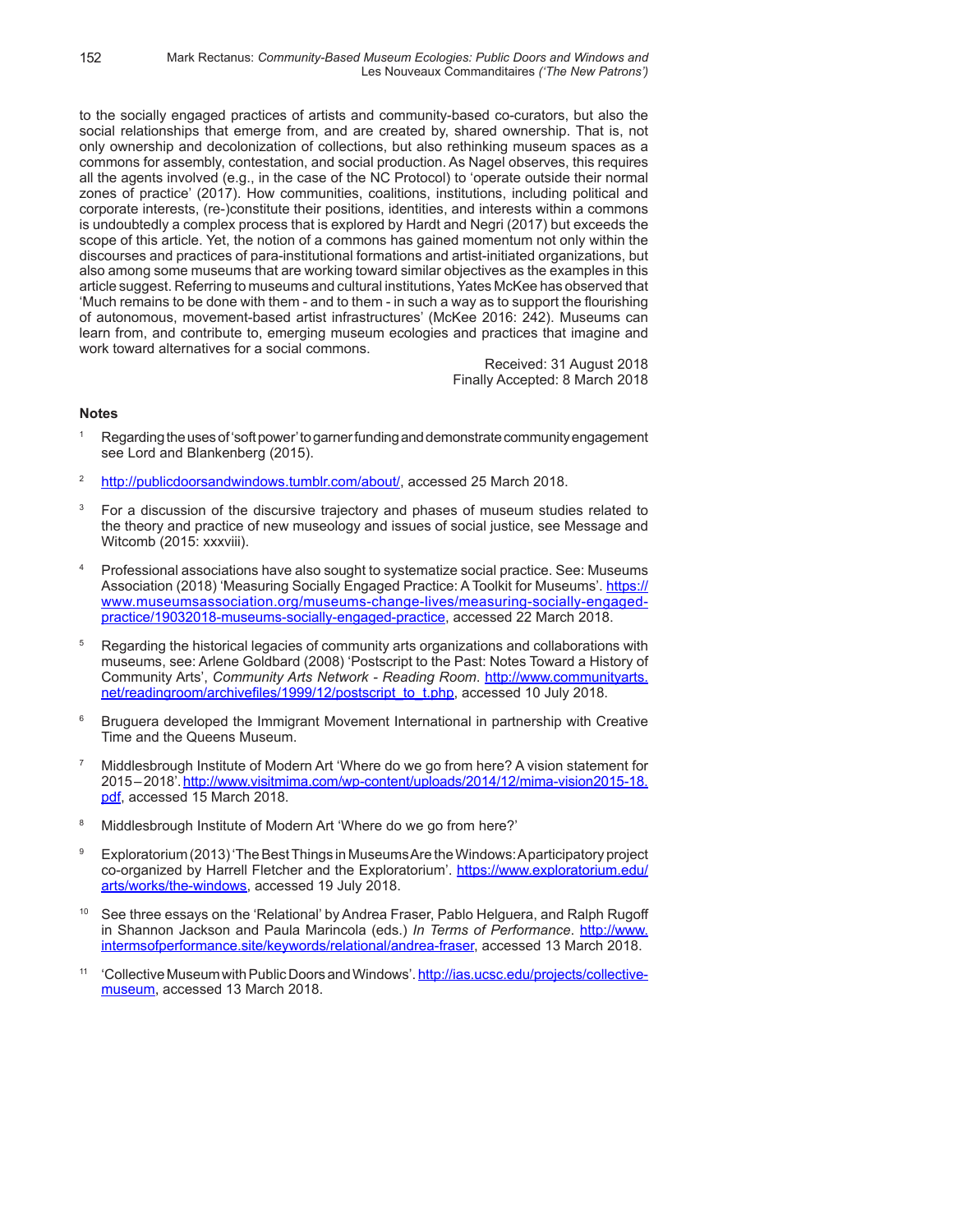to the socially engaged practices of artists and community-based co-curators, but also the social relationships that emerge from, and are created by, shared ownership. That is, not only ownership and decolonization of collections, but also rethinking museum spaces as a commons for assembly, contestation, and social production. As Nagel observes, this requires all the agents involved (e.g., in the case of the NC Protocol) to 'operate outside their normal zones of practice' (2017). How communities, coalitions, institutions, including political and corporate interests, (re-)constitute their positions, identities, and interests within a commons is undoubtedly a complex process that is explored by Hardt and Negri (2017) but exceeds the scope of this article. Yet, the notion of a commons has gained momentum not only within the discourses and practices of para-institutional formations and artist-initiated organizations, but also among some museums that are working toward similar objectives as the examples in this article suggest. Referring to museums and cultural institutions, Yates McKee has observed that 'Much remains to be done with them - and to them - in such a way as to support the flourishing of autonomous, movement-based artist infrastructures' (McKee 2016: 242). Museums can learn from, and contribute to, emerging museum ecologies and practices that imagine and work toward alternatives for a social commons.

> Received: 31 August 2018 Finally Accepted: 8 March 2018

# **Notes**

- <sup>1</sup> Regarding the uses of 'soft power' to garner funding and demonstrate community engagement see Lord and Blankenberg (2015).
- <sup>2</sup> http://publicdoorsandwindows.tumblr.com/about/, accessed 25 March 2018.
- <sup>3</sup> For a discussion of the discursive trajectory and phases of museum studies related to the theory and practice of new museology and issues of social justice, see Message and Witcomb (2015: xxxviii).
- <sup>4</sup> Professional associations have also sought to systematize social practice. See: Museums Association (2018) 'Measuring Socially Engaged Practice: A Toolkit for Museums'. https:// www.museumsassociation.org/museums-change-lives/measuring-socially-engagedpractice/19032018-museums-socially-engaged-practice, accessed 22 March 2018.
- <sup>5</sup> Regarding the historical legacies of community arts organizations and collaborations with museums, see: Arlene Goldbard (2008) 'Postscript to the Past: Notes Toward a History of Community Arts', *Community Arts Network - Reading Room*. http://www.communityarts. net/readingroom/archivefiles/1999/12/postscript\_to\_t.php, accessed 10 July 2018.
- <sup>6</sup> Bruguera developed the Immigrant Movement International in partnership with Creative Time and the Queens Museum.
- <sup>7</sup> Middlesbrough Institute of Modern Art 'Where do we go from here? A vision statement for 2015 – 2018'. http://www.visitmima.com/wp-content/uploads/2014/12/mima-vision2015-18. pdf, accessed 15 March 2018.
- <sup>8</sup> Middlesbrough Institute of Modern Art 'Where do we go from here?'
- <sup>9</sup> Exploratorium (2013) 'The Best Things in Museums Are the Windows: A participatory project co-organized by Harrell Fletcher and the Exploratorium'. https://www.exploratorium.edu/ arts/works/the-windows, accessed 19 July 2018.
- See three essays on the 'Relational' by Andrea Fraser, Pablo Helguera, and Ralph Rugoff in Shannon Jackson and Paula Marincola (eds.) *In Terms of Performance*. http://www. intermsofperformance.site/keywords/relational/andrea-fraser, accessed 13 March 2018.
- <sup>11</sup> 'Collective Museum with Public Doors and Windows'. http://ias.ucsc.edu/projects/collectivemuseum, accessed 13 March 2018.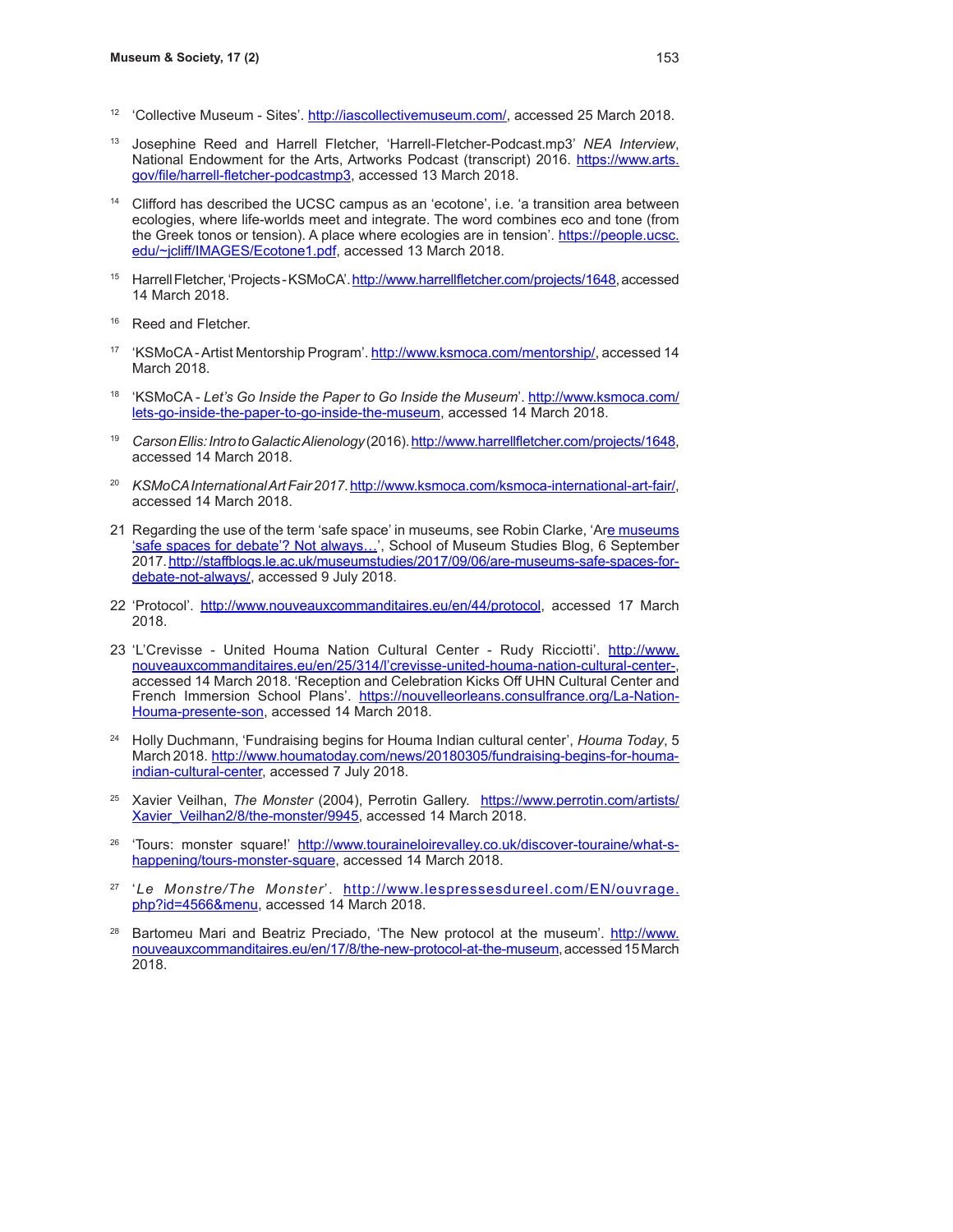- <sup>12</sup> 'Collective Museum Sites'. http://iascollectivemuseum.com/, accessed 25 March 2018.
- <sup>13</sup> Josephine Reed and Harrell Fletcher, 'Harrell-Fletcher-Podcast.mp3' *NEA Interview*, National Endowment for the Arts, Artworks Podcast (transcript) 2016. https://www.arts. gov/file/harrell-fletcher-podcastmp3, accessed 13 March 2018.
- <sup>14</sup> Clifford has described the UCSC campus as an 'ecotone', i.e. 'a transition area between ecologies, where life-worlds meet and integrate. The word combines eco and tone (from the Greek tonos or tension). A place where ecologies are in tension'. https://people.ucsc. edu/~jcliff/IMAGES/Ecotone1.pdf, accessed 13 March 2018.
- <sup>15</sup> Harrell Fletcher, 'Projects KSMoCA'. http://www.harrellfletcher.com/projects/1648, accessed 14 March 2018.
- <sup>16</sup> Reed and Fletcher.
- <sup>17</sup> 'KSMoCA Artist Mentorship Program'. http://www.ksmoca.com/mentorship/, accessed 14 March 2018.
- <sup>18</sup> 'KSMoCA Let's Go Inside the Paper to Go Inside the Museum'. http://www.ksmoca.com/ lets-go-inside-the-paper-to-go-inside-the-museum, accessed 14 March 2018.
- <sup>19</sup> *Carson Ellis: Intro to Galactic Alienology* (2016). http://www.harrellfletcher.com/projects/1648, accessed 14 March 2018.
- <sup>20</sup> *KSMoCA International Art Fair 2017*. http://www.ksmoca.com/ksmoca-international-art-fair/, accessed 14 March 2018.
- 21 Regarding the use of the term 'safe space' in museums, see Robin Clarke, 'Are museums 'safe spaces for debate'? Not always...', School of Museum Studies Blog, 6 September 2017. http://staffblogs.le.ac.uk/museumstudies/2017/09/06/are-museums-safe-spaces-fordebate-not-always/, accessed 9 July 2018.
- 22 'Protocol'. http://www.nouveauxcommanditaires.eu/en/44/protocol, accessed 17 March 2018.
- 23 'L'Crevisse United Houma Nation Cultural Center Rudy Ricciotti'. http://www. nouveauxcommanditaires.eu/en/25/314/l'crevisse-united-houma-nation-cultural-center-, accessed 14 March 2018. 'Reception and Celebration Kicks Off UHN Cultural Center and French Immersion School Plans'. https://nouvelleorleans.consulfrance.org/La-Nation-Houma-presente-son, accessed 14 March 2018.
- <sup>24</sup> Holly Duchmann, 'Fundraising begins for Houma Indian cultural center', *Houma Today*, 5 March 2018. http://www.houmatoday.com/news/20180305/fundraising-begins-for-houmaindian-cultural-center, accessed 7 July 2018.
- <sup>25</sup> Xavier Veilhan, *The Monster* (2004), Perrotin Gallery. https://www.perrotin.com/artists/ Xavier\_Veilhan2/8/the-monster/9945, accessed 14 March 2018.
- <sup>26</sup> 'Tours: monster square!' http://www.touraineloirevalley.co.uk/discover-touraine/what-shappening/tours-monster-square, accessed 14 March 2018.
- <sup>27</sup> 'Le Monstre/The Monster'. http://www.lespressesdureel.com/EN/ouvrage. php?id=4566&menu, accessed 14 March 2018.
- Bartomeu Mari and Beatriz Preciado, 'The New protocol at the museum'. http://www. nouveauxcommanditaires.eu/en/17/8/the-new-protocol-at-the-museum, accessed 15 March 2018.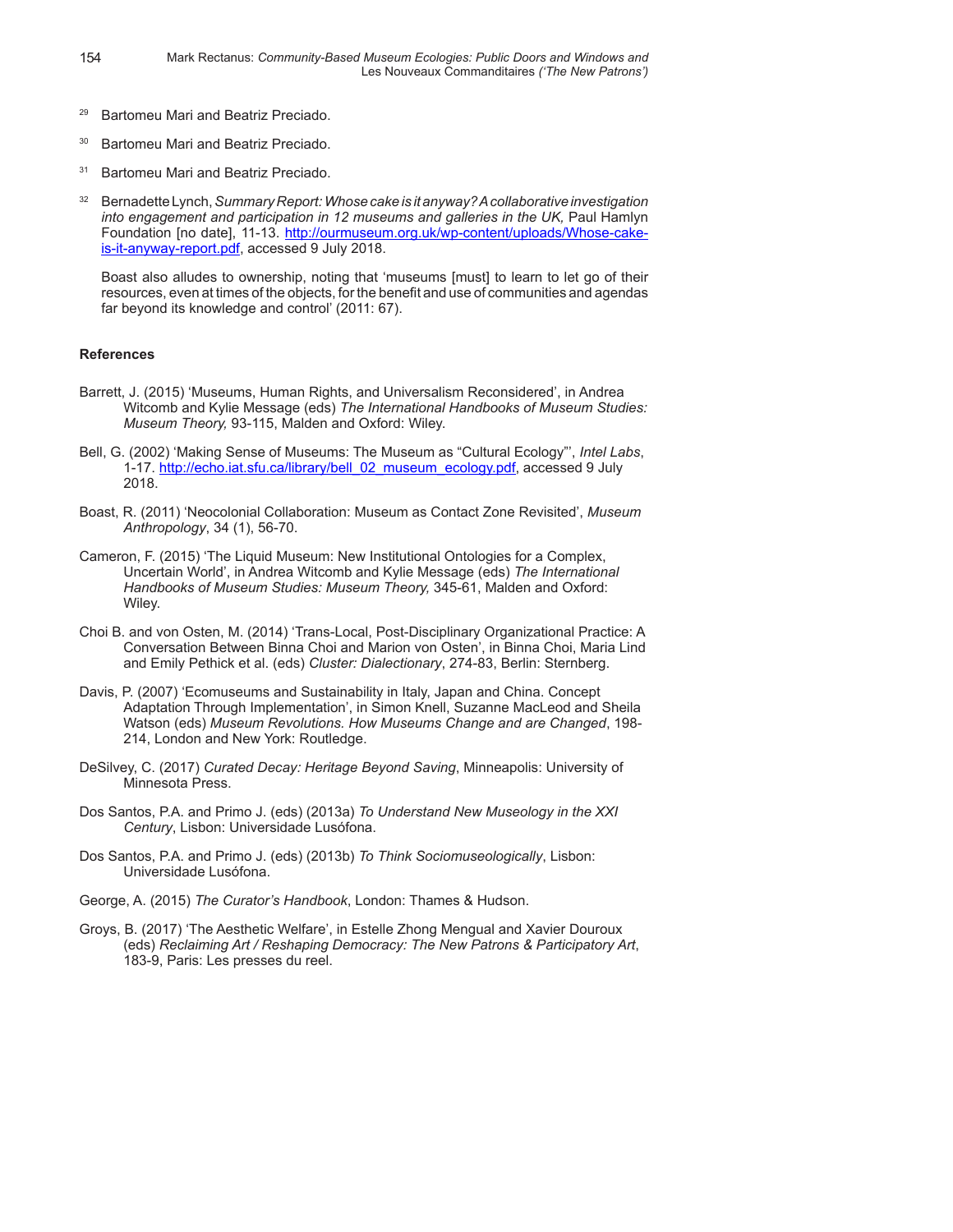- <sup>29</sup> Bartomeu Mari and Beatriz Preciado.
- <sup>30</sup> Bartomeu Mari and Beatriz Preciado.
- <sup>31</sup> Bartomeu Mari and Beatriz Preciado.
- <sup>32</sup> Bernadette Lynch, *Summary Report: Whose cake is it anyway? A collaborative investigation into engagement and participation in 12 museums and galleries in the UK,* Paul Hamlyn Foundation [no date], 11-13. http://ourmuseum.org.uk/wp-content/uploads/Whose-cakeis-it-anyway-report.pdf, accessed 9 July 2018.

Boast also alludes to ownership, noting that 'museums [must] to learn to let go of their resources, even at times of the objects, for the benefit and use of communities and agendas far beyond its knowledge and control' (2011: 67).

## **References**

- Barrett, J. (2015) 'Museums, Human Rights, and Universalism Reconsidered', in Andrea Witcomb and Kylie Message (eds) *The International Handbooks of Museum Studies: Museum Theory,* 93-115, Malden and Oxford: Wiley.
- Bell, G. (2002) 'Making Sense of Museums: The Museum as "Cultural Ecology"', *Intel Labs*, 1-17. http://echo.iat.sfu.ca/library/bell\_02\_museum\_ecology.pdf, accessed 9 July 2018.
- Boast, R. (2011) 'Neocolonial Collaboration: Museum as Contact Zone Revisited', *Museum Anthropology*, 34 (1), 56-70.
- Cameron, F. (2015) 'The Liquid Museum: New Institutional Ontologies for a Complex, Uncertain World', in Andrea Witcomb and Kylie Message (eds) *The International Handbooks of Museum Studies: Museum Theory,* 345-61, Malden and Oxford: Wiley.
- Choi B. and von Osten, M. (2014) 'Trans-Local, Post-Disciplinary Organizational Practice: A Conversation Between Binna Choi and Marion von Osten', in Binna Choi, Maria Lind and Emily Pethick et al. (eds) *Cluster: Dialectionary*, 274-83, Berlin: Sternberg.
- Davis, P. (2007) 'Ecomuseums and Sustainability in Italy, Japan and China. Concept Adaptation Through Implementation', in Simon Knell, Suzanne MacLeod and Sheila Watson (eds) *Museum Revolutions. How Museums Change and are Changed*, 198- 214, London and New York: Routledge.
- DeSilvey, C. (2017) *Curated Decay: Heritage Beyond Saving*, Minneapolis: University of Minnesota Press.
- Dos Santos, P.A. and Primo J. (eds) (2013a) *To Understand New Museology in the XXI Century*, Lisbon: Universidade Lusófona.
- Dos Santos, P.A. and Primo J. (eds) (2013b) *To Think Sociomuseologically*, Lisbon: Universidade Lusófona.
- George, A. (2015) *The Curator's Handbook*, London: Thames & Hudson.
- Groys, B. (2017) 'The Aesthetic Welfare', in Estelle Zhong Mengual and Xavier Douroux (eds) *Reclaiming Art / Reshaping Democracy: The New Patrons & Participatory Art*, 183-9, Paris: Les presses du reel.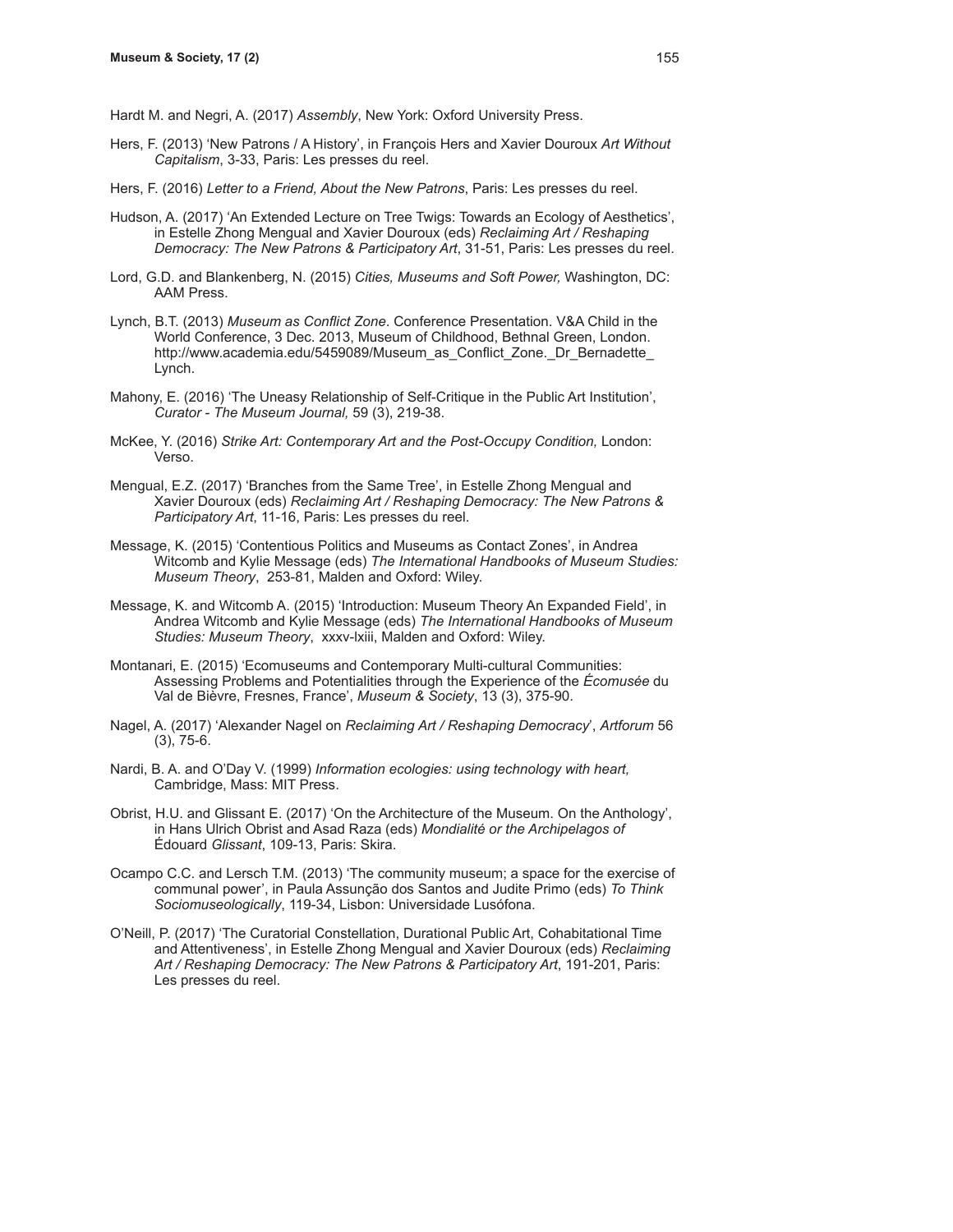Hardt M. and Negri, A. (2017) *Assembly*, New York: Oxford University Press.

- Hers, F. (2013) 'New Patrons / A History', in François Hers and Xavier Douroux *Art Without Capitalism*, 3-33, Paris: Les presses du reel.
- Hers, F. (2016) *Letter to a Friend, About the New Patrons*, Paris: Les presses du reel.
- Hudson, A. (2017) 'An Extended Lecture on Tree Twigs: Towards an Ecology of Aesthetics', in Estelle Zhong Mengual and Xavier Douroux (eds) *Reclaiming Art / Reshaping Democracy: The New Patrons & Participatory Art*, 31-51, Paris: Les presses du reel.
- Lord, G.D. and Blankenberg, N. (2015) *Cities, Museums and Soft Power,* Washington, DC: AAM Press.
- Lynch, B.T. (2013) *Museum as Conflict Zone*. Conference Presentation. V&A Child in the World Conference, 3 Dec. 2013, Museum of Childhood, Bethnal Green, London. http://www.academia.edu/5459089/Museum\_as\_Conflict\_Zone.\_Dr\_Bernadette Lynch.
- Mahony, E. (2016) 'The Uneasy Relationship of Self-Critique in the Public Art Institution', *Curator - The Museum Journal,* 59 (3), 219-38.
- McKee, Y. (2016) *Strike Art: Contemporary Art and the Post-Occupy Condition,* London: Verso.
- Mengual, E.Z. (2017) 'Branches from the Same Tree', in Estelle Zhong Mengual and Xavier Douroux (eds) *Reclaiming Art / Reshaping Democracy: The New Patrons & Participatory Art*, 11-16, Paris: Les presses du reel.
- Message, K. (2015) 'Contentious Politics and Museums as Contact Zones', in Andrea Witcomb and Kylie Message (eds) *The International Handbooks of Museum Studies: Museum Theory*, 253-81, Malden and Oxford: Wiley.
- Message, K. and Witcomb A. (2015) 'Introduction: Museum Theory An Expanded Field', in Andrea Witcomb and Kylie Message (eds) *The International Handbooks of Museum Studies: Museum Theory*, xxxv-lxiii, Malden and Oxford: Wiley.
- Montanari, E. (2015) 'Ecomuseums and Contemporary Multi-cultural Communities: Assessing Problems and Potentialities through the Experience of the *Écomusée* du Val de Bièvre, Fresnes, France', *Museum & Society*, 13 (3), 375-90.
- Nagel, A. (2017) 'Alexander Nagel on *Reclaiming Art / Reshaping Democracy*', *Artforum* 56 (3), 75-6.
- Nardi, B. A. and O'Day V. (1999) *Information ecologies: using technology with heart,* Cambridge, Mass: MIT Press.
- Obrist, H.U. and Glissant E. (2017) 'On the Architecture of the Museum. On the Anthology', in Hans Ulrich Obrist and Asad Raza (eds) *Mondialité or the Archipelagos of*  Édouard *Glissant*, 109-13, Paris: Skira.
- Ocampo C.C. and Lersch T.M. (2013) 'The community museum; a space for the exercise of communal power', in Paula Assunção dos Santos and Judite Primo (eds) *To Think Sociomuseologically*, 119-34, Lisbon: Universidade Lusófona.
- O'Neill, P. (2017) 'The Curatorial Constellation, Durational Public Art, Cohabitational Time and Attentiveness', in Estelle Zhong Mengual and Xavier Douroux (eds) *Reclaiming Art / Reshaping Democracy: The New Patrons & Participatory Art*, 191-201, Paris: Les presses du reel.